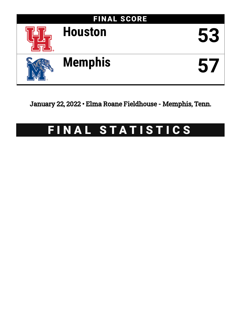

January 22, 2022 • Elma Roane Fieldhouse - Memphis, Tenn.

# FINAL STATISTICS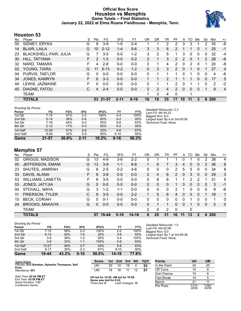#### **Official Box Score Houston vs Memphis Game Totals -- Final Statistics January 22, 2022 at Elma Roane Fieldhouse - Memphis, Tenn.**



#### **Houston 53**

| No. | Player                 | S  | <b>Pts</b> | FG       | 3FG      | FT.      | 0R             | DR | TR | PF             | A        | TO       | <b>B</b> lk | Stl      | Min        | $+/-$          |
|-----|------------------------|----|------------|----------|----------|----------|----------------|----|----|----------------|----------|----------|-------------|----------|------------|----------------|
| 00  | SIDNEY, ERYKA          | G  | 9          | $3-9$    | $1 - 5$  | 2-4      |                |    | 2  | 2              | 3        | 3        |             | 2        | 35         | -6             |
| 14  | <b>BLAIR, LAILA</b>    | G  | 10         | $2 - 12$ | $1 - 4$  | $5-6$    | 3              | 3  | 6  | $\overline{2}$ |          |          | 0           |          | 25         | -1             |
| 23  | BLACKSHELL-FAIR, JULIA | G  |            | $3 - 5$  | $0 - 0$  | $1 - 2$  | 3              | 2  | 5  |                | 3        | 0        | 0           | 0        | 32         | $-4$           |
| 30  | HILL, TATYANA          | F. | 2          | $1 - 3$  | $0 - 0$  | $0 - 2$  | 2              | 1  | 3  | $\mathcal{P}$  | 2        | 0        | 1           | 2        | 28         | -6             |
| 32  | NARD, TAMARA           | F  | 4          | $2 - 8$  | $0 - 0$  | $0 - 0$  | 3              | 1  | 4  | 2              | 0        | 2        | $\Omega$    | 1        | 20         | -8             |
| 02  | YOUNG, TIARA           | G  | 11         | $5 - 13$ | $0 - 2$  | $1 - 2$  | 0              | 3  | 3  | $\overline{2}$ | $\Omega$ | 1        | $\Omega$    |          | 27         | $\overline{4}$ |
| 04  | PURVIS, TAE'LOR        | G  | 0          | $0 - 0$  | $0 - 0$  | $0 - 0$  | 0              | 1  |    |                | 0        |          | 0           | 0        | 4          | -6             |
| 34  | JONES, KAMRYN          | F. | 6          | $3 - 3$  | $0 - 0$  | $0 - 0$  |                |    | 2  |                |          |          | $\Omega$    | $\Omega$ | 17         | 5              |
| 44  | LEWIS, JAZMAINE        | F  | 0          | $0 - 0$  | $0 - 0$  | $0 - 0$  | 0              | 1  |    | 2              | $\Omega$ |          |             | 0        | 2          | $-2$           |
| 45  | DIAGNE, FATOU          | C. | 4          | $2 - 4$  | $0 - 0$  | $0 - 0$  | $\overline{2}$ | 2  | 4  | $\mathcal{P}$  | $\Omega$ | $\Omega$ | $\Omega$    |          | 9          | $\overline{4}$ |
|     | <b>TEAM</b>            |    |            |          |          |          |                | 3  | 4  | 0              |          |          |             |          |            |                |
|     | <b>TOTALS</b>          |    | 53         | 21-57    | $2 - 11$ | $9 - 16$ | 16             | 19 | 35 | 17             | 10       | 11       | 3           | 8        | <b>200</b> |                |

| 2nd Qtr  | $5 - 14$  | 36%   | $0 - 4$  | 00%   | $0 - 2$  | 00%   |
|----------|-----------|-------|----------|-------|----------|-------|
| 3rd Qtr  | $7 - 16$  | 44%   | $0 - 2$  | 00%   | $5-8$    | 63%   |
| 4th Qtr  | $2 - 12$  | 17%   | $0 - 3$  | 00%   | $0 - 2$  | 00%   |
| 1st Half | $12 - 29$ | 41%   | $2 - 6$  | 33%   | $4-6$    | 67%   |
| 2nd Half | $9 - 28$  | 32%   | $0 - 5$  | 00%   | $5 - 10$ | 50%   |
| Game     | $21 - 57$ | 36.8% | $2 - 11$ | 18.2% | $9 - 16$ | 56.3% |

#### *Deadball Rebounds:* 2,3 *Last FG:* 4th-04:23 *Biggest Run:* 6-0 *Largest lead:* By 4 at 3rd-00:06 *Technical Fouls:* None.

#### **Memphis 57**

| No. | Plaver                   | S  | Pts | FG.     | 3FG     | FT        | 0 <sub>R</sub> | DR | TR | РF       | A        | TO                    | Blk          | Stl          | Min | $+/-$        |
|-----|--------------------------|----|-----|---------|---------|-----------|----------------|----|----|----------|----------|-----------------------|--------------|--------------|-----|--------------|
| 02  | <b>GRIGGS, MADISON</b>   | G  | 13  | $4-9$   | $3-6$   | 2-2       | 0              |    |    |          | 0        |                       | 0            | 2            | 38  | 4            |
| 05  | JEFFERSON, EMANI         | G  | 13  | $3-9$   | $1 - 1$ | $6 - 8$   |                | 6  | 7  | 3        | 4        | 0                     | $\mathbf{0}$ | 2            | 36  | 6            |
| 23  | SHUTES, JAMIRAH          | G  | 8   | $2 - 5$ | $0 - 2$ | $4-6$     | 0              | 0  | 0  | 2        | 5        | 5                     | 0            | 0            | 34  | 8            |
| 33  | DAVIS, ALANA             | F  | 6   | $3 - 8$ | $0 - 0$ | $0 - 0$   | $\overline{2}$ | 4  | 6  | 2        | 0        | 3                     | $\mathbf{0}$ | $\mathbf{0}$ | 29  | 3            |
| 53  | <b>WILLIAMS, LANETTA</b> | F. | 6   | $3 - 5$ | $0 - 0$ | $0 - 0$   | 0              | 8  | 8  |          |          | $\mathbf{2}^{\prime}$ | 2            |              | 31  | 5            |
| 03  | JONES, JATYJIA           | G  | 0   | $0 - 0$ | $0 - 0$ | $0 - 0$   | 0              | 0  | 0  |          | 0        | 0                     | $\Omega$     | $\Omega$     | 3   | -1           |
| 04  | STOVALL, MAYA            | G  | 3   | $1 - 2$ | $1 - 1$ | $0 - 0$   | $\Omega$       | 0  | 0  | 2        |          | 0                     | $\Omega$     | $\Omega$     | 9   | -6           |
| 11  | <b>FRIERSON, TYLER</b>   | С  | 8   | $3 - 5$ | $0 - 0$ | $2 - 2$   |                | 5  | 6  | 4        | $\Omega$ | 0                     | $\Omega$     | 1            | 18  | 1            |
| 15  | <b>BECK, CORIAH</b>      | G  | 0   | $0 - 1$ | $0 - 0$ | $0 - 0$   | 0              | 0  | 0  | $\Omega$ | 0        |                       | 0            | 0            | 1   | $\Omega$     |
| 24  | <b>BROOKS, MAKAIYA</b>   | G  | 0   | $0 - 0$ | $0 - 0$ | $0 - 0$   | 0              |    |    | $\Omega$ | $\Omega$ |                       | $\Omega$     | $\Omega$     | 2   | $\mathbf{0}$ |
|     | TEAM                     |    |     |         |         |           | 2              | 0  | 2  | $\Omega$ |          | 0                     |              |              |     |              |
|     | <b>TOTALS</b>            |    | 57  | 19-44   | $5-10$  | $14 - 18$ | 6              | 25 | 31 | 16       | 11       | 13                    | $\mathbf 2$  | 6            | 200 |              |

| <b>Shooting By Period</b> |           |       |         |       |          |       |
|---------------------------|-----------|-------|---------|-------|----------|-------|
| Period                    | FG        | FG%   | 3FG     | 3FG%  | FT       | FT%   |
| 1st Qtr                   | 7-12      | 58%   | $2 - 2$ | 100%  | $2 - 2$  | 100%  |
| 2nd Qtr                   | $6 - 15$  | 40%   | $1-5$   | 20%   | $3-6$    | 50%   |
| 3rd Qtr                   | $3-8$     | 38%   | $1 - 2$ | 50%   | $4 - 4$  | 100%  |
| 4th Qtr                   | $3-9$     | 33%   | $1 - 1$ | 100%  | $5-6$    | 83%   |
| 1st Half                  | $13 - 27$ | 48%   | $3 - 7$ | 43%   | $5 - 8$  | 63%   |
| 2nd Half                  | $6 - 17$  | 35%   | $2 - 3$ | 67%   | $9 - 10$ | 90%   |
| Game                      | 19-44     | 43.2% | $5-10$  | 50.0% | 14-18    | 77.8% |

*Deadball Rebounds:* 1,0 *Last FG:* 4th-02:06 *Biggest Run:* 5-0 *Largest lead:* By 7 at 3rd-09:38 *Technical Fouls:* None.

| Game Notes:     |                                                 |
|-----------------|-------------------------------------------------|
|                 | Officials: Eric Brewton, Nykesha Thompson, Saif |
| Esho            |                                                 |
| Attendance: 651 |                                                 |

Start Time: **02:02 PM ET** End Time: **03:59 PM ET** Game Duration: **1:57** Conference Game;

| <b>Score</b> |    | 1st 2nd 3rd 4th |    |    | <b>TOT</b> |
|--------------|----|-----------------|----|----|------------|
| UН           | 20 | 10              | 19 | 4  | 53         |
| LIM.         | 18 | 16              | 11 | ィク | 57         |

## **UH led for 14:26. UM led for 19:09. Game was tied for 6:22.** Times tied: **8** Lead Changes: **12**

| <b>Points</b>     | UH             | UM             |
|-------------------|----------------|----------------|
| In the Paint      | 24             | 20             |
| Off Turns         | 10             | 8              |
| 2nd Chance        | 15             | 6              |
| <b>Fast Break</b> | 14             | 5              |
| Bench             | 21             | 11             |
| Per Poss          | 0.914<br>26/58 | 0.983<br>26/58 |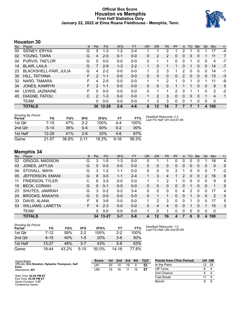#### **Official Box Score Houston vs Memphis First Half Statistics Only January 22, 2022 at Elma Roane Fieldhouse - Memphis, Tenn.**



#### **Houston 30**

| No. | Plaver                 | S  | <b>Pts</b>    | FG        | 3FG     | <b>FT</b> | <b>OR</b> | <b>DR</b> | TR           | PF       | A              | TO       | <b>Blk</b> | Stl          | <b>Min</b> | $+/-$          |
|-----|------------------------|----|---------------|-----------|---------|-----------|-----------|-----------|--------------|----------|----------------|----------|------------|--------------|------------|----------------|
| 00  | SIDNEY, ERYKA          | G  | 5             | $1 - 3$   | $1 - 2$ | $2 - 4$   |           |           | 2            |          | 2              |          | 0          |              | 17         | $-4$           |
| 02  | YOUNG, TIARA           | G  | 4             | $2 - 5$   | $0 - 1$ | $0 - 0$   | 0         | 2         | 2            | 0        | 0              | $\Omega$ | 0          |              | 11         | $\overline{7}$ |
| 04  | PURVIS, TAE'LOR        | G  | $\Omega$      | $0-0$     | $0 - 0$ | $0-0$     | 0         |           |              | 0        | 0              |          | 0          | 0            | 4          | $-7$           |
| 14  | <b>BLAIR, LAILA</b>    | G  | 7             | $2-9$     | $1 - 3$ | $2 - 2$   |           | 0         |              |          | 0              |          | 0          | 0            | 14         | $-7$           |
| 23  | BLACKSHELL-FAIR, JULIA | G  | 4             | $2 - 2$   | $0 - 0$ | $0 - 0$   |           | 2         | 3            |          | 2              | 0        | 0          | 0            | 14         | -1             |
| 30  | HILL, TATYANA          | F  | $\mathcal{P}$ | $1 - 1$   | $0 - 0$ | $0 - 0$   | 0         | 0         | $\mathbf{0}$ | $\Omega$ | $\overline{2}$ | 0        | 0          | 0            | 13         | $-3$           |
| 32  | NARD, TAMARA           | F  | 4             | $2 - 5$   | $0 - 0$ | $0 - 0$   |           | 1         | 2            |          | 0              |          | 0          | 1            | 11         | -9             |
| 34  | <b>JONES, KAMRYN</b>   | F. | 2             | $1 - 1$   | $0 - 0$ | $0 - 0$   | 0         | 0         | 0            |          |                |          | 0          | $\mathbf{0}$ | 9          | 5              |
| 44  | LEWIS, JAZMAINE        | F  | 0             | $0 - 0$   | $0 - 0$ | $0-0$     | 0         | 1         | 1            | 2        | 0              |          |            | 0            | 2          | $-2$           |
| 45  | DIAGNE, FATOU          | C  | $\mathcal{P}$ | $1 - 3$   | $0 - 0$ | $0 - 0$   | 1         | 2         | 3            | 0        | 0              | $\Omega$ | 0          | 1            | 4          | $\mathbf 1$    |
|     | <b>TEAM</b>            |    | 0             | $0 - 0$   | $0 - 0$ | $0 - 0$   |           | 2         | 3            | $\Omega$ | 0              |          | 0          | 0            | 0          |                |
|     | <b>TOTALS</b>          |    | 30            | $12 - 29$ | $2 - 6$ | $4 - 6$   | 6         | 12        | 18           |          | 7              | 7        |            | 4            | 100        |                |

| <b>Shooting By Period</b><br>Period | FG        | FG%   | 3FG      | 3FG%  | FТ       | FT%    |
|-------------------------------------|-----------|-------|----------|-------|----------|--------|
| 1st Otr                             | 7-15      | 47%   | 2-2      | 100%  | 4-4      | 100%   |
| 2nd Otr                             | $5 - 14$  | 36%   | በ-4      | 00%   | $0 - 2$  | $00\%$ |
| 1st Half                            | $12 - 29$ | 41%   | $2-6$    | 33%   | $4-6$    | 67%    |
| Game                                | 21-57     | 36.8% | $2 - 11$ | 18.2% | $9 - 16$ | 56.3%  |

#### *Deadball Rebounds:* 2,3 *Last FG Half:* UH 2nd-01:06

## **Memphis 34**

| No. | Plaver                   | S  | <b>Pts</b> | <b>FG</b> | 3FG     | <b>FT</b> | <b>OR</b> | DR       | TR       | PF           | A | TO | <b>B</b> lk | Stl            | Min          | $+/-$        |
|-----|--------------------------|----|------------|-----------|---------|-----------|-----------|----------|----------|--------------|---|----|-------------|----------------|--------------|--------------|
| 02  | <b>GRIGGS, MADISON</b>   | G  | 3          | $1 - 5$   | 1-3     | $0 - 0$   | 0         |          |          | 0            | 0 | 0  | 0           |                | 18           | 4            |
| 03  | JONES, JATYJIA           | G  | 0          | $0 - 0$   | $0 - 0$ | $0 - 0$   | 0         | 0        | 0        | 0            | 0 | 0  | 0           | 0              | $\mathbf{0}$ | $\mathbf{0}$ |
| 04  | STOVALL, MAYA            | G  | 3          | $1 - 2$   | $1 - 1$ | $0 - 0$   | 0         | 0        | 0        | 2            |   | 0  | 0           | 0              | 7            | $-2$         |
| 05  | JEFFERSON, EMANI         | G  | 9          | $3 - 5$   | 1-1     | $2 - 4$   |           | 3        | 4        |              | 2 | 0  | 0           | 2              | 16           | 6            |
| 11  | <b>FRIERSON, TYLER</b>   | С  | 6          | $3 - 3$   | $0 - 0$ | $0 - 0$   |           |          | 2        |              | 0 | 0  | 0           | 0              | 9            | 0            |
| 15  | <b>BECK, CORIAH</b>      | G  | 0          | $0 - 1$   | $0 - 0$ | $0 - 0$   | 0         | 0        | 0        | 0            | 0 | 1  | 0           | $\Omega$       | 1            | $\mathbf{0}$ |
| 23  | SHUTES, JAMIRAH          | G  | 3          | $0 - 2$   | $0 - 2$ | $3 - 4$   | 0         | $\Omega$ | $\Omega$ | $\Omega$     | 4 | 2  | 0           | 0              | 17           | 4            |
| 24  | <b>BROOKS, MAKAIYA</b>   | G  | 0          | $0 - 0$   | $0 - 0$ | $0 - 0$   | 0         |          | 1        | 0            | 0 | 1  | 0           | $\Omega$       | 2            | $\mathbf{0}$ |
| 33  | DAVIS, ALANA             | F  | 6.         | $3-6$     | $0 - 0$ | $0 - 0$   | 1         | 2        | 3        | <sup>0</sup> | 0 | 1  | 0           | 0              | 17           | 5            |
| 53  | <b>WILLIAMS, LANETTA</b> | F. | 4          | $2 - 3$   | $0 - 0$ | $0 - 0$   | $\Omega$  | 4        | 4        | $\Omega$     | 0 |    | 0           |                | 15           | 3            |
|     | <b>TEAM</b>              |    | 0          | $0-0$     | $0 - 0$ | $0 - 0$   |           | 0        | 1        | 0            | 0 | 0  | 0           | 0              | 0            |              |
|     | <b>TOTALS</b>            |    |            | 34 13-27  | $3 - 7$ | $5-8$     | 4         | 12       | 16       | 4            |   | 6  | 0           | $\overline{4}$ | 100          |              |

| <b>Shooting By Period</b><br>Period | FG        | FG%   | 3FG     | 3FG%     | FТ      | FT%   |
|-------------------------------------|-----------|-------|---------|----------|---------|-------|
| 1st Otr                             | 7-12      | 58%   | $2-2$   | 100%     | $2-2$   | 100%  |
| 2nd Otr                             | $6 - 15$  | 40%   | $1 - 5$ | 20%      | $3-6$   | 50%   |
| 1st Half                            | $13 - 27$ | 48%   | $3-7$   | 43%      | $5 - 8$ | 63%   |
| Game                                | 19-44     | 43.2% | $5-10$  | $50.0\%$ | 14-18   | 77 ጸ% |

*Deadball Rebounds:* 1,0 *Last FG Half:* UM 2nd-00:09

| Game Notes:                                             | <b>Score</b> | 1st l | 3rd<br>2nd |    |  | <b>TOT</b> | <b>Points from (This Period)</b> | UH UM |    |
|---------------------------------------------------------|--------------|-------|------------|----|--|------------|----------------------------------|-------|----|
| Officials: Eric Brewton, Nykesha Thompson, Saif<br>Esho | UH           | 20    | 10         | 19 |  | 53         | In the Paint                     | 12    | 18 |
| Attendance: 651                                         | UM           | 18    | 16         |    |  | 57         | Off Turns                        |       |    |
|                                                         |              |       |            |    |  |            | 2nd Chance                       |       |    |
| Start Time: 02:02 PM ET<br>End Time: 03:59 PM ET        |              |       |            |    |  |            | <b>Fast Break</b>                |       |    |
| Game Duration: 1:57<br>Conference Game;                 |              |       |            |    |  |            | Bench                            |       |    |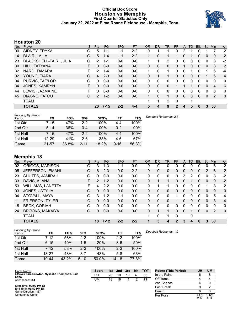#### **Official Box Score Houston vs Memphis First Quarter Statistics Only January 22, 2022 at Elma Roane Fieldhouse - Memphis, Tenn.**



#### **Houston 20**

| No. | Player                        | S  | <b>Pts</b>   | FG       | 3FG     | <b>FT</b> | 0R           | DR.      | TR           | <b>PF</b> | A        | TO       | <b>B</b> lk | Stl          | Min | $+/-$ |
|-----|-------------------------------|----|--------------|----------|---------|-----------|--------------|----------|--------------|-----------|----------|----------|-------------|--------------|-----|-------|
| 00  | SIDNEY, ERYKA                 | G  | 5            | 1-1      | 1-1     | $2 - 2$   | 0            |          |              | 0         | 2        |          | 0           |              |     | 2     |
| 14  | <b>BLAIR, LAILA</b>           | G  | 5            | $1 - 4$  | $1 - 1$ | $2 - 2$   |              | 0        |              |           | 0        |          | 0           | 0            | 9   | 2     |
| 23  | <b>BLACKSHELL-FAIR, JULIA</b> | G  | 2            | 1-1      | $0 - 0$ | $0 - 0$   |              |          | 2            | 0         | 0        | 0        | 0           | 0            | 8   | $-2$  |
| 30  | HILL, TATYANA                 | F  | 0            | $0 - 0$  | $0 - 0$ | $0 - 0$   | $\Omega$     | 0        | 0            | $\Omega$  |          | 0        | 0           | 0            | 8   | 2     |
| 32  | NARD, TAMARA                  | F. | 2            | $1 - 4$  | $0 - 0$ | $0 - 0$   | 1.           | 0        | 1            | 0         | $\Omega$ |          | 0           |              | 6   | -4    |
| 02  | YOUNG, TIARA                  | G  | 4            | $2 - 3$  | $0 - 0$ | $0 - 0$   | $\mathbf{0}$ |          | 1            | $\Omega$  | $\Omega$ | $\Omega$ | 0           |              | 6   | 4     |
| 04  | PURVIS, TAE'LOR               | G  | $\Omega$     | $0 - 0$  | $0 - 0$ | $0 - 0$   | $\mathbf{0}$ | $\Omega$ | 0            | 0         | $\Omega$ | 0        | 0           | 0            | 0   | 0     |
| 34  | JONES, KAMRYN                 | F  | $\mathbf{0}$ | $0 - 0$  | $0 - 0$ | $0 - 0$   | $\Omega$     | 0        | 0            |           |          |          | 0           | $\Omega$     | 4   | 6     |
| 44  | LEWIS, JAZMAINE               | F  | 0            | $0 - 0$  | $0 - 0$ | $0 - 0$   | $\mathbf{0}$ | 0        | 0            | 0         | 0        | 0        | 0           | 0            | 0   | 0     |
| 45  | DIAGNE, FATOU                 | C  | 2            | $1 - 2$  | $0-0$   | $0 - 0$   | 1            | 0        | $\mathbf{1}$ | $\Omega$  | $\Omega$ | $\Omega$ | 0           | $\mathbf{0}$ | 2   | 0     |
|     | <b>TEAM</b>                   |    |              |          |         |           | 1            | 1        | 2            | 0         |          | 1        |             |              |     |       |
|     | <b>TOTALS</b>                 |    | 20           | $7 - 15$ | $2 - 2$ | $4 - 4$   | 5            | 4        | 9            | 2         | 4        | 5        | 0           | 3            | 50  |       |

| <b>Shooting By Period</b><br>Period | FG        | FG%   | 3FG      | 3FG%   | FT       | FT%   | Deadball Rebounds: 2,3 |
|-------------------------------------|-----------|-------|----------|--------|----------|-------|------------------------|
| 1st Qtr                             | 7-15      | 47%   | $2 - 2$  | 100%   | 4-4      | 100%  |                        |
| 2nd Qtr                             | $5 - 14$  | 36%   | $0 - 4$  | $00\%$ | $0 - 2$  | 00%   |                        |
| 1st Half                            | $7 - 15$  | 47%   | $2 - 2$  | 100%   | 4-4      | 100%  |                        |
| 1st Half                            | $12 - 29$ | 41%   | $2-6$    | 33%    | 4-6      | 67%   |                        |
| Game                                | $21 - 57$ | 36.8% | $2 - 11$ | 18.2%  | $9 - 16$ | 56.3% |                        |

#### **Memphis 18**

| No. | Player                   | S  | Pts      | FG       | 3FG     | <b>FT</b> | <b>OR</b> | <b>DR</b> | TR       | PF             | A | <b>TO</b> | <b>Blk</b> | Stl | Min      | $+/-$          |
|-----|--------------------------|----|----------|----------|---------|-----------|-----------|-----------|----------|----------------|---|-----------|------------|-----|----------|----------------|
| 02  | <b>GRIGGS, MADISON</b>   | G  | 3        | $1 - 3$  | 1-1     | $0 - 0$   | 0         | 0         | 0        | 0              | 0 | 0         |            | 0   | 8        | $-2$           |
| 05  | JEFFERSON, EMANI         | G  | 6        | $2 - 3$  | $0 - 0$ | $2 - 2$   | 0         | 0         | 0        | 0              | 0 | 0         | 0          | 2   | 8        | 2              |
| 23  | SHUTES, JAMIRAH          | G  | 0        | $0-0$    | $0 - 0$ | $0-0$     | 0         | 0         | 0        | 0              | 3 | 2         | 0          | 0   | 8        | $-2$           |
| 33  | DAVIS, ALANA             | F. | 2        | $1 - 2$  | $0 - 0$ | $0 - 0$   | 0         |           | 1        | 0              | 0 |           | 0          | 0   | 9        | $-2$           |
| 53  | <b>WILLIAMS, LANETTA</b> | F  | 4        | $2 - 2$  | $0 - 0$ | $0-0$     | 0         | 1         | 1        | 0              | 0 | 0         | 0          | 1   | 8        | $\overline{2}$ |
| 03  | JONES, JATYJIA           | G  | $\Omega$ | $0 - 0$  | $0 - 0$ | $0 - 0$   | 0         | 0         | $\Omega$ | $\Omega$       | 0 | $\Omega$  | $\Omega$   | 0   | $\Omega$ | $\mathbf{0}$   |
| 04  | STOVALL, MAYA            | G  | 3        | $1 - 2$  | $1 - 1$ | $0 - 0$   | $\Omega$  | 0         | 0        |                | 0 | 0         | 0          | 0   | 5        | $-4$           |
| 11  | <b>FRIERSON, TYLER</b>   | С  | $\Omega$ | $0 - 0$  | $0 - 0$ | $0 - 0$   | 0         | 0         | 0        |                | 0 | 0         | 0          | 0   | 3        | $-4$           |
| 15  | <b>BECK, CORIAH</b>      | G  | 0        | $0 - 0$  | $0 - 0$ | $0 - 0$   | 0         | 0         | 0        | 0              | 0 | 0         | 0          | 0   | 0        | 0              |
| 24  | <b>BROOKS, MAKAIYA</b>   | G  | 0        | $0 - 0$  | $0 - 0$ | $0 - 0$   | 0         | 1         | 1        | 0              | 0 |           | 0          | 0   | 2        | $\mathbf{0}$   |
|     | <b>TEAM</b>              |    |          |          |         |           | 1         | 0         | 1        | $\Omega$       |   | 0         |            |     |          |                |
|     | <b>TOTALS</b>            |    | 18       | $7 - 12$ | $2 - 2$ | $2 - 2$   |           | 3         | 4        | $\overline{2}$ | 3 | 4         | 0          | 3   | 50       |                |

| <b>Shooting By Period</b> |           |       |          |            |         |       | De |
|---------------------------|-----------|-------|----------|------------|---------|-------|----|
| Period                    | FG        | FG%   | 3FG      | 3FG%       | FT      | FT%   |    |
| 1st Qtr                   | 7-12      | 58%   | $2-2$    | 100%       | $2 - 2$ | 100%  |    |
| 2nd Qtr                   | $6 - 15$  | 40%   | $1 - 5$  | <b>20%</b> | $3-6$   | 50%   |    |
| 1st Half                  | $7-12$    | 58%   | $2-2$    | 100%       | $2 - 2$ | 100%  |    |
| 1st Half                  | $13 - 27$ | 48%   | $3 - 7$  | 43%        | $5-8$   | 63%   |    |
| Game                      | 19-44     | 43.2% | $5 - 10$ | 50.0%      | 14-18   | 77.8% |    |

*Deadball Rebounds:* 1,0

| Game Notes:                                             | <b>Score</b> | 1st | 2nd | 3rd | 4th | <b>TOT</b> | <b>Points (This Period)</b> | UH            | <b>UM</b>     |
|---------------------------------------------------------|--------------|-----|-----|-----|-----|------------|-----------------------------|---------------|---------------|
| Officials: Eric Brewton, Nykesha Thompson, Saif<br>Esho | UH           | 20  | 10  | 19  |     | 53         | In the Paint                |               |               |
| Attendance: 651                                         | UM           | 18  | 16  |     |     | 57         | Off Turns                   |               |               |
|                                                         |              |     |     |     |     |            | 2nd Chance                  |               |               |
| Start Time: 02:02 PM ET<br>End Time: 03:59 PM ET        |              |     |     |     |     |            | <b>Fast Break</b>           |               |               |
| Game Duration: 1:57                                     |              |     |     |     |     |            | Bench                       |               |               |
| Conference Game;                                        |              |     |     |     |     |            | Per Poss                    | l.176<br>9/17 | 1.125<br>8/16 |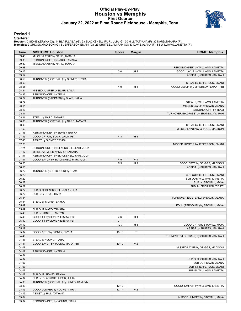#### **Official Play-By-Play Houston vs Memphis First Quarter January 22, 2022 at Elma Roane Fieldhouse - Memphis, Tenn.**



#### **Period 1**

<mark>Startersː</mark><br>Houston: 0 SIDNEY,ERYKA (G); 14 BLAIR,LAILA (G); 23 BLACKSHELL-FAIR,JULIA (G); 30 HILL,TATYANA (F); 32 NARD,TAMARA (F);<br>**Memphis**: 2 GRIGGS,MADISON (G); 5 JEFFERSON,EMANI (G); 23 SHUTES,JAMIRAH (G); 33 DAVIS,AL

| Time           | <b>VISITORS: Houston</b>                | <b>Score</b> | <b>Margin</b>  | <b>HOME: Memphis</b>                   |
|----------------|-----------------------------------------|--------------|----------------|----------------------------------------|
| 09:45          | MISSED LAYUP by NARD, TAMARA            |              |                |                                        |
| 09:39          | REBOUND (OFF) by NARD, TAMARA           |              |                |                                        |
| 09:39          | MISSED LAYUP by NARD, TAMARA            |              |                |                                        |
| 09:38          |                                         |              |                | REBOUND (DEF) by WILLIAMS, LANETTA     |
| 09:12          |                                         | $2 - 0$      | H <sub>2</sub> | GOOD! LAYUP by WILLIAMS, LANETTA       |
| 09:12          |                                         |              |                | ASSIST by SHUTES, JAMIRAH              |
| 08:59          | TURNOVER (LOSTBALL) by SIDNEY, ERYKA    |              |                |                                        |
| 08:59          |                                         |              |                | STEAL by JEFFERSON, EMANI              |
| 08:55          |                                         | $4 - 0$      | H <sub>4</sub> | GOOD! LAYUP by JEFFERSON, EMANI [FB]   |
| 08:34          | MISSED JUMPER by BLAIR, LAILA           |              |                |                                        |
| 08:33          | REBOUND (OFF) by TEAM                   |              |                |                                        |
| 08:24          | TURNOVER (BADPASS) by BLAIR, LAILA      |              |                |                                        |
| 08:24          |                                         |              |                | STEAL by WILLIAMS, LANETTA             |
| 08:14          |                                         |              |                | MISSED LAYUP by DAVIS, ALANA           |
| 08:13          |                                         |              |                | REBOUND (OFF) by TEAM                  |
| 08:11          |                                         |              |                | TURNOVER (BADPASS) by SHUTES, JAMIRAH  |
| 08:11          | STEAL by NARD, TAMARA                   |              |                |                                        |
| 08:08          | TURNOVER (LOSTBALL) by NARD, TAMARA     |              |                |                                        |
| 08:08          |                                         |              |                | STEAL by JEFFERSON, EMANI              |
| 07:50          |                                         |              |                | MISSED LAYUP by GRIGGS, MADISON        |
| 07:46          | REBOUND (DEF) by SIDNEY, ERYKA          |              |                |                                        |
| 07:43          | GOOD! 3PTR by BLAIR, LAILA [FB]         | $4 - 3$      | H <sub>1</sub> |                                        |
| 07:43          | ASSIST by SIDNEY, ERYKA                 |              |                |                                        |
| 07:23          |                                         |              |                | MISSED JUMPER by JEFFERSON, EMANI      |
| 07:21          | REBOUND (DEF) by BLACKSHELL-FAIR, JULIA |              |                |                                        |
| 07:17          | MISSED JUMPER by NARD, TAMARA           |              |                |                                        |
| 07:11          | REBOUND (OFF) by BLACKSHELL-FAIR, JULIA |              |                |                                        |
| 07:11          | GOOD! LAYUP by BLACKSHELL-FAIR, JULIA   | $4 - 5$      | V <sub>1</sub> |                                        |
| 06:56          |                                         | $7-5$        | H <sub>2</sub> | GOOD! 3PTR by GRIGGS, MADISON          |
| 06:56          |                                         |              |                | ASSIST by SHUTES, JAMIRAH              |
| 06:22          | TURNOVER (SHOTCLOCK) by TEAM            |              |                |                                        |
| 06:22          |                                         |              |                | SUB OUT: JEFFERSON, EMANI              |
| 06:22          |                                         |              |                | SUB OUT: WILLIAMS, LANETTA             |
| 06:22          |                                         |              |                | SUB IN: STOVALL, MAYA                  |
| 06:22          |                                         |              |                | SUB IN: FRIERSON, TYLER                |
| 06:22          | SUB OUT: BLACKSHELL-FAIR, JULIA         |              |                |                                        |
| 06:22<br>05:54 | SUB IN: YOUNG, TIARA                    |              |                |                                        |
| 05:54          | STEAL by SIDNEY, ERYKA                  |              |                | TURNOVER (LOSTBALL) by DAVIS, ALANA    |
| 05:49          |                                         |              |                | FOUL (PERSONAL) by STOVALL, MAYA       |
| 05:49          | SUB OUT: NARD, TAMARA                   |              |                |                                        |
| 05:49          | SUB IN: JONES, KAMRYN                   |              |                |                                        |
| 05:49          | GOOD! FT by SIDNEY, ERYKA [FB]          | $7 - 6$      | H <sub>1</sub> |                                        |
| 05:49          | GOOD! FT by SIDNEY, ERYKA [FB]          | $7 - 7$      | T.             |                                        |
|                |                                         |              | H <sub>3</sub> | GOOD! 3PTR by STOVALL, MAYA            |
| 05:19<br>05:19 |                                         | $10 - 7$     |                | ASSIST by SHUTES, JAMIRAH              |
| 05:02          | GOOD! 3PTR by SIDNEY, ERYKA             | $10 - 10$    | T              |                                        |
| 04:46          |                                         |              |                | TURNOVER (LOSTBALL) by SHUTES, JAMIRAH |
| 04:46          | STEAL by YOUNG, TIARA                   |              |                |                                        |
| 04:41          | GOOD! LAYUP by YOUNG, TIARA [FB]        | $10-12$      | V <sub>2</sub> |                                        |
| 04:08          |                                         |              |                | MISSED LAYUP by GRIGGS, MADISON        |
| 04:07          | REBOUND (DEF) by TEAM                   |              |                |                                        |
| 04:07          |                                         |              |                |                                        |
| 04:07          |                                         |              |                | SUB OUT: SHUTES, JAMIRAH               |
| 04:07          |                                         |              |                | SUB OUT: DAVIS, ALANA                  |
| 04:07          |                                         |              |                | SUB IN: JEFFERSON, EMANI               |
| 04:07          |                                         |              |                | SUB IN: WILLIAMS, LANETTA              |
| 04:07          | SUB OUT: SIDNEY, ERYKA                  |              |                |                                        |
| 04:07          | SUB IN: BLACKSHELL-FAIR, JULIA          |              |                |                                        |
| 04:00          | TURNOVER (LOSTBALL) by JONES, KAMRYN    |              |                |                                        |
| 03:43          |                                         | $12 - 12$    | T              | GOOD! JUMPER by WILLIAMS, LANETTA      |
| 03:13          | GOOD! JUMPER by YOUNG, TIARA            | $12 - 14$    | V <sub>2</sub> |                                        |
| 03:13          | ASSIST by HILL, TATYANA                 |              |                |                                        |
| 03:04          |                                         |              |                | MISSED JUMPER by STOVALL, MAYA         |
| 03:02          | REBOUND (DEF) by YOUNG, TIARA           |              |                |                                        |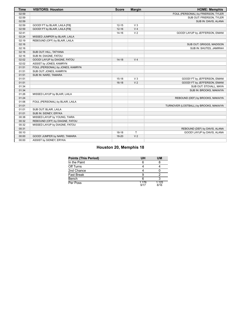| <b>Time</b> | <b>VISITORS: Houston</b>         | <b>Score</b> | <b>Margin</b>  | <b>HOME: Memphis</b>                   |
|-------------|----------------------------------|--------------|----------------|----------------------------------------|
| 02:59       |                                  |              |                | FOUL (PERSONAL) by FRIERSON, TYLER     |
| 02:59       |                                  |              |                | SUB OUT: FRIERSON, TYLER               |
| 02:59       |                                  |              |                | SUB IN: DAVIS, ALANA                   |
| 02:59       | GOOD! FT by BLAIR, LAILA [FB]    | $12 - 15$    | V <sub>3</sub> |                                        |
| 02:59       | GOOD! FT by BLAIR, LAILA [FB]    | $12 - 16$    | V <sub>4</sub> |                                        |
| 02:41       |                                  | $14 - 16$    | V <sub>2</sub> | GOOD! LAYUP by JEFFERSON, EMANI        |
| 02:24       | MISSED JUMPER by BLAIR, LAILA    |              |                |                                        |
| 02:19       | REBOUND (OFF) by BLAIR, LAILA    |              |                |                                        |
| 02:16       |                                  |              |                | SUB OUT: GRIGGS, MADISON               |
| 02:16       |                                  |              |                | SUB IN: SHUTES, JAMIRAH                |
| 02:16       | SUB OUT: HILL, TATYANA           |              |                |                                        |
| 02:16       | SUB IN: DIAGNE, FATOU            |              |                |                                        |
| 02:02       | GOOD! LAYUP by DIAGNE, FATOU     | $14 - 18$    | V <sub>4</sub> |                                        |
| 02:02       | ASSIST by JONES, KAMRYN          |              |                |                                        |
| 01:51       | FOUL (PERSONAL) by JONES, KAMRYN |              |                |                                        |
| 01:51       | SUB OUT: JONES, KAMRYN           |              |                |                                        |
| 01:51       | SUB IN: NARD, TAMARA             |              |                |                                        |
| 01:51       |                                  | $15 - 18$    | $V_3$          | GOOD! FT by JEFFERSON, EMANI           |
| 01:51       |                                  | $16-18$      | V <sub>2</sub> | GOOD! FT by JEFFERSON, EMANI           |
| 01:34       |                                  |              |                | SUB OUT: STOVALL, MAYA                 |
| 01:34       |                                  |              |                | SUB IN: BROOKS, MAKAIYA                |
| 01:26       | MISSED LAYUP by BLAIR, LAILA     |              |                |                                        |
| 01:24       |                                  |              |                | REBOUND (DEF) by BROOKS, MAKAIYA       |
| 01:06       | FOUL (PERSONAL) by BLAIR, LAILA  |              |                |                                        |
| 01:01       |                                  |              |                | TURNOVER (LOSTBALL) by BROOKS, MAKAIYA |
| 01:01       | SUB OUT: BLAIR, LAILA            |              |                |                                        |
| 01:01       | SUB IN: SIDNEY, ERYKA            |              |                |                                        |
| 00:38       | MISSED LAYUP by YOUNG, TIARA     |              |                |                                        |
| 00:32       | REBOUND (OFF) by DIAGNE, FATOU   |              |                |                                        |
| 00:32       | MISSED LAYUP by DIAGNE, FATOU    |              |                |                                        |
| 00:31       |                                  |              |                | REBOUND (DEF) by DAVIS, ALANA          |
| 00:10       |                                  | $18-18$      | T.             | GOOD! LAYUP by DAVIS, ALANA            |
| 00:00       | GOOD! JUMPER by NARD, TAMARA     | 18-20        | V <sub>2</sub> |                                        |
| 00:00       | ASSIST by SIDNEY, ERYKA          |              |                |                                        |

#### **Houston 20, Memphis 18**

| <b>Points (This Period)</b> | UH            | UM            |
|-----------------------------|---------------|---------------|
| In the Paint                |               |               |
| Off Turns                   |               |               |
| 2nd Chance                  |               |               |
| <b>Fast Break</b>           |               |               |
| Bench                       |               |               |
| Per Poss                    | 1.176<br>9/17 | 1.125<br>8/16 |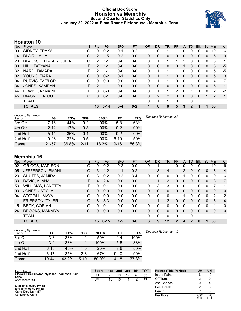#### **Official Box Score Houston vs Memphis Second Quarter Statistics Only January 22, 2022 at Elma Roane Fieldhouse - Memphis, Tenn.**



#### **Houston 10**

| No. | Player                        | S  | <b>Pts</b>     | <b>FG</b> | 3FG     | <b>FT</b> | <b>OR</b> | <b>DR</b>    | TR | PF            | A        | TO | <b>Blk</b> | Stl          | Min | $+/-$ |
|-----|-------------------------------|----|----------------|-----------|---------|-----------|-----------|--------------|----|---------------|----------|----|------------|--------------|-----|-------|
| 00  | SIDNEY, ERYKA                 | G  | 0              | $0 - 2$   | $0 - 1$ | $0 - 2$   |           | 0            |    |               | 0        | 0  | 0          | 0            | 10  | -6    |
| 14  | <b>BLAIR, LAILA</b>           | G  | $\overline{2}$ | $1 - 5$   | $0 - 2$ | $0 - 0$   | 0         | 0            | 0  | 0             | 0        | 0  | 0          | 0            | 5   | -9    |
| 23  | <b>BLACKSHELL-FAIR, JULIA</b> | G  | 2              | 1-1       | $0 - 0$ | $0 - 0$   | 0         |              |    | 1             |          | 0  | 0          | 0            | 6   | 1     |
| 30  | HILL, TATYANA                 | F  | $\mathcal{P}$  | $1 - 1$   | $0 - 0$ | $0 - 0$   | $\Omega$  | 0            | 0  | 0             |          | 0  | 0          | $\mathbf{0}$ | 5   | $-5$  |
| 32  | NARD, TAMARA                  | F  | 2              | $1 - 1$   | $0 - 0$ | $0 - 0$   | $\Omega$  |              |    | 1             | $\Omega$ | 0  | 0          | $\Omega$     | 5   | $-5$  |
| 02  | YOUNG, TIARA                  | G  | $\Omega$       | $0 - 2$   | $0 - 1$ | $0 - 0$   | $\Omega$  |              | 1  | 0             | $\Omega$ | 0  | 0          | $\Omega$     | 5   | 3     |
| 04  | PURVIS, TAE'LOR               | G  | 0              | $0 - 0$   | $0 - 0$ | $0 - 0$   | $\Omega$  |              |    | 0             | $\Omega$ |    | 0          | $\Omega$     | 4   | $-7$  |
| 34  | <b>JONES, KAMRYN</b>          | F. | $\overline{2}$ | $1 - 1$   | $0 - 0$ | $0 - 0$   | $\Omega$  | $\mathbf{0}$ | 0  | 0             | $\Omega$ | 0  | 0          | $\mathbf{0}$ | 5   | -1    |
| 44  | LEWIS, JAZMAINE               | F  | 0              | $0 - 0$   | $0 - 0$ | $0 - 0$   | 0         |              |    | $\mathcal{P}$ | $\Omega$ |    |            | $\Omega$     | 2   | $-2$  |
| 45  | DIAGNE, FATOU                 | С  | 0              | $0 - 1$   | $0 - 0$ | $0 - 0$   | 0         | 2            | 2  | $\Omega$      | $\Omega$ | 0  | 0          |              | 2   | 1     |
|     | <b>TEAM</b>                   |    |                |           |         |           | $\Omega$  | 1            | 1  | 0             |          | 0  |            |              |     |       |
|     | <b>TOTALS</b>                 |    | 10             | $5 - 14$  | $0 - 4$ | $0 - 2$   |           | 8            | 9  | 5             | 3        | 2  |            |              | 50  |       |

| <b>Shooting By Period</b><br>Period | FG        | FG%   | 3FG      | 3FG%   | FT       | FT%    | Deadball Rebounds: 2,3 |
|-------------------------------------|-----------|-------|----------|--------|----------|--------|------------------------|
| 3rd Qtr                             | 7-16      | 44%   | $0 - 2$  | $00\%$ | $5-8$    | 63%    |                        |
| 4th Qtr                             | $2 - 12$  | 17%   | $0 - 3$  | 00%    | $0 - 2$  | $00\%$ |                        |
| 2nd Half                            | 5-14      | 36%   | 0-4      | $00\%$ | $0 - 2$  | 00%    |                        |
| 2nd Half                            | $9 - 28$  | 32%   | $0 - 5$  | $00\%$ | $5 - 10$ | 50%    |                        |
| Game                                | $21 - 57$ | 36.8% | $2 - 11$ | 18.2%  | $9 - 16$ | 56.3%  |                        |

## **Memphis 16**

| No. | Plaver                   | S  | Pts      | FG       | 3FG     | <b>FT</b> | <b>OR</b> | <b>DR</b> | <b>TR</b>      | PF           | A | TO          | <b>Blk</b> | Stl | Min      | $+/-$          |
|-----|--------------------------|----|----------|----------|---------|-----------|-----------|-----------|----------------|--------------|---|-------------|------------|-----|----------|----------------|
| 02  | <b>GRIGGS, MADISON</b>   | G  | 0        | $0 - 2$  | $0 - 2$ | $0-0$     | 0         |           |                | 0            | 0 | 0           |            |     | 10       | 6              |
| 05  | JEFFERSON, EMANI         | G  | 3        | $1 - 2$  | $1 - 1$ | $0 - 2$   |           | 3         | 4              |              | 2 | 0           | 0          | 0   | 8        | 4              |
| 23  | SHUTES, JAMIRAH          | G  | 3        | $0 - 2$  | $0 - 2$ | $3 - 4$   | 0         | 0         | 0              | 0            |   | 0           | 0          | 0   | 9        | 6              |
| 33  | DAVIS, ALANA             | F  | 4        | $2 - 4$  | $0 - 0$ | $0 - 0$   |           |           | $\overline{2}$ | 0            | 0 | 0           | $\Omega$   | 0   | 8        | $\overline{7}$ |
| 53  | <b>WILLIAMS, LANETTA</b> | F. | $\Omega$ | $0 - 1$  | $0 - 0$ | $0-0$     | 0         | 3         | 3              | 0            | 0 | 1           | 0          | 0   | 7        | 1              |
| 03  | JONES, JATYJIA           | G  | $\Omega$ | $0 - 0$  | $0 - 0$ | $0 - 0$   | 0         | $\Omega$  | $\Omega$       | $\Omega$     | 0 | $\Omega$    | $\Omega$   | 0   | $\Omega$ | $\mathbf{0}$   |
| 04  | STOVALL, MAYA            | G  | $\Omega$ | $0 - 0$  | $0 - 0$ | $0-0$     | $\Omega$  | 0         | 0              |              |   | 0           | 0          | 0   | 2        | 2              |
| 11  | <b>FRIERSON, TYLER</b>   | C  | 6        | $3 - 3$  | $0 - 0$ | $0 - 0$   |           |           | $\overline{2}$ | $\Omega$     | 0 | $\Omega$    | 0          | 0   | 6        | $\overline{4}$ |
| 15  | <b>BECK, CORIAH</b>      | G  | 0        | $0 - 1$  | $0 - 0$ | $0 - 0$   | 0         | 0         | 0              | 0            | 0 |             | 0          | 0   |          | 0              |
| 24  | <b>BROOKS, MAKAIYA</b>   | G  | 0        | $0 - 0$  | $0 - 0$ | $0 - 0$   | 0         | 0         | $\Omega$       | 0            | 0 | 0           | 0          | 0   | $\Omega$ | $\mathbf 0$    |
|     | <b>TEAM</b>              |    |          |          |         |           | 0         | 0         | 0              | $\mathbf{0}$ |   | $\mathbf 0$ |            |     |          |                |
|     | <b>TOTALS</b>            |    | 16       | $6 - 15$ | $1 - 5$ | $3 - 6$   | 3         | 9         | 12             | 2            | 4 | 2           | 0          | 1   | 50       |                |

| <b>Shooting By Period</b><br>Period | FG       | FG%   | 3FG      | 3FG%       | FT        | FT%   | Deadball Rebounds: 1,0 |
|-------------------------------------|----------|-------|----------|------------|-----------|-------|------------------------|
| 3rd Qtr                             | $3 - 8$  | 38%   | $1 - 2$  | 50%        | 4-4       | 100%  |                        |
| 4th Qtr                             | $3-9$    | 33%   | 1-1      | 100%       | $5-6$     | 83%   |                        |
| 2nd Half                            | $6 - 15$ | 40%   | $1-5$    | <b>20%</b> | $3-6$     | 50%   |                        |
| 2nd Half                            | $6 - 17$ | 35%   | $2 - 3$  | 67%        | $9 - 10$  | 90%   |                        |
| Game                                | 19-44    | 43.2% | $5 - 10$ | 50.0%      | $14 - 18$ | 77.8% |                        |

| Game Notes:                                             | <b>Score</b> |    | 1st 2nd | $\blacksquare$ 3rd $\blacksquare$ | 4th | <b>TOT</b> | <b>Points (This Period)</b> | UH            | <b>UM</b>     |
|---------------------------------------------------------|--------------|----|---------|-----------------------------------|-----|------------|-----------------------------|---------------|---------------|
| Officials: Eric Brewton, Nykesha Thompson, Saif<br>Esho | UH           | 20 | 10      | 19                                |     | 53         | In the Paint                |               | 10            |
| Attendance: 651                                         | UM           | 18 | 16      |                                   | 12  | 57         | Off Turns                   |               |               |
|                                                         |              |    |         |                                   |     |            | 2nd Chance                  |               |               |
| Start Time: 02:02 PM ET<br>End Time: 03:59 PM ET        |              |    |         |                                   |     |            | <b>Fast Break</b>           |               |               |
| Game Duration: 1:57                                     |              |    |         |                                   |     |            | Bench                       |               |               |
| Conference Game:                                        |              |    |         |                                   |     |            | Per Poss                    | 0.625<br>5/16 | 1.000<br>8/16 |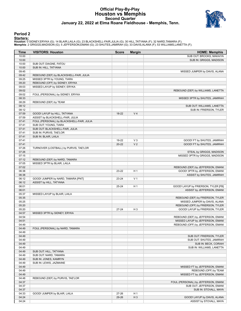#### **Official Play-By-Play Houston vs Memphis Second Quarter January 22, 2022 at Elma Roane Fieldhouse - Memphis, Tenn.**



#### **Period 2**

<mark>Startersː</mark><br>Houston: 0 SIDNEY,ERYKA (G); 14 BLAIR,LAILA (G); 23 BLACKSHELL-FAIR,JULIA (G); 30 HILL,TATYANA (F); 32 NARD,TAMARA (F);<br>**Memphis**: 2 GRIGGS,MADISON (G); 5 JEFFERSON,EMANI (G); 23 SHUTES,JAMIRAH (G); 33 DAVIS,AL

| Time           | <b>VISITORS: Houston</b>                  | <b>Score</b> | <b>Margin</b>  | <b>HOME: Memphis</b>                |
|----------------|-------------------------------------------|--------------|----------------|-------------------------------------|
| 10:00          |                                           |              |                | SUB OUT: BROOKS, MAKAIYA            |
| 10:00          |                                           |              |                | SUB IN: GRIGGS, MADISON             |
| 10:00          | SUB OUT: DIAGNE, FATOU                    |              |                |                                     |
| 10:00          | SUB IN: HILL, TATYANA                     |              |                |                                     |
| 09:45          |                                           |              |                | MISSED JUMPER by DAVIS, ALANA       |
| 09:42          | REBOUND (DEF) by BLACKSHELL-FAIR, JULIA   |              |                |                                     |
| 09:25          | MISSED 3PTR by YOUNG, TIARA               |              |                |                                     |
| 09:20          | REBOUND (OFF) by SIDNEY, ERYKA            |              |                |                                     |
| 09:03          | MISSED LAYUP by SIDNEY, ERYKA             |              |                |                                     |
| 09:02          |                                           |              |                | REBOUND (DEF) by WILLIAMS, LANETTA  |
| 09:02          | FOUL (PERSONAL) by SIDNEY, ERYKA          |              |                |                                     |
| 08:33<br>08:29 | REBOUND (DEF) by TEAM                     |              |                | MISSED 3PTR by SHUTES, JAMIRAH      |
| 08:12          |                                           |              |                | SUB OUT: WILLIAMS, LANETTA          |
| 08:12          |                                           |              |                | SUB IN: FRIERSON, TYLER             |
| 07:59          | GOOD! LAYUP by HILL, TATYANA              | 18-22        | V <sub>4</sub> |                                     |
| 07:59          | ASSIST by BLACKSHELL-FAIR, JULIA          |              |                |                                     |
| 07:41          | FOUL (PERSONAL) by BLACKSHELL-FAIR, JULIA |              |                |                                     |
| 07:41          | SUB OUT: YOUNG, TIARA                     |              |                |                                     |
| 07:41          | SUB OUT: BLACKSHELL-FAIR, JULIA           |              |                |                                     |
| 07:41          | SUB IN: PURVIS, TAE'LOR                   |              |                |                                     |
| 07:41          | SUB IN: BLAIR, LAILA                      |              |                |                                     |
| 07:41          |                                           | 19-22        | $V_3$          | GOOD! FT by SHUTES, JAMIRAH         |
| 07:41          |                                           | $20 - 22$    | V <sub>2</sub> | GOOD! FT by SHUTES, JAMIRAH         |
| 07:26          | TURNOVER (LOSTBALL) by PURVIS, TAE'LOR    |              |                |                                     |
| 07:26          |                                           |              |                | STEAL by GRIGGS, MADISON            |
| 07:15          |                                           |              |                | MISSED 3PTR by GRIGGS, MADISON      |
| 07:12          | REBOUND (DEF) by NARD, TAMARA             |              |                |                                     |
| 07:05          | MISSED 3PTR by BLAIR, LAILA               |              |                |                                     |
| 07:02          |                                           |              |                | REBOUND (DEF) by JEFFERSON, EMANI   |
| 06:38          |                                           | 23-22        | H <sub>1</sub> | GOOD! 3PTR by JEFFERSON, EMANI      |
| 06:38          |                                           |              |                | ASSIST by SHUTES, JAMIRAH           |
| 06:12          | GOOD! JUMPER by NARD, TAMARA [PNT]        | 23-24        | V <sub>1</sub> |                                     |
| 06:12          | ASSIST by HILL, TATYANA                   |              |                |                                     |
| 06:01          |                                           | 25-24        | H <sub>1</sub> | GOOD! LAYUP by FRIERSON, TYLER [FB] |
| 06:01          |                                           |              |                | ASSIST by JEFFERSON, EMANI          |
| 05:37          | MISSED LAYUP by BLAIR, LAILA              |              |                |                                     |
| 05:35          |                                           |              |                | REBOUND (DEF) by FRIERSON, TYLER    |
| 05:25          |                                           |              |                | MISSED JUMPER by DAVIS, ALANA       |
| 05:20          |                                           |              |                | REBOUND (OFF) by FRIERSON, TYLER    |
| 05:20<br>04:57 |                                           | $27 - 24$    | H <sub>3</sub> | GOOD! LAYUP by FRIERSON, TYLER      |
| 04:54          | MISSED 3PTR by SIDNEY, ERYKA              |              |                | REBOUND (DEF) by JEFFERSON, EMANI   |
| 04:51          |                                           |              |                | MISSED LAYUP by JEFFERSON, EMANI    |
| 04:49          |                                           |              |                | REBOUND (OFF) by JEFFERSON, EMANI   |
| 04:49          | FOUL (PERSONAL) by NARD, TAMARA           |              |                |                                     |
| 04:49          |                                           |              |                |                                     |
| 04:49          |                                           |              |                | SUB OUT: FRIERSON, TYLER            |
| 04:49          |                                           |              |                | SUB OUT: SHUTES, JAMIRAH            |
| 04:49          |                                           |              |                | SUB IN: BECK, CORIAH                |
| 04:49          |                                           |              |                | SUB IN: WILLIAMS, LANETTA           |
| 04:49          | SUB OUT: HILL, TATYANA                    |              |                |                                     |
| 04:49          | SUB OUT: NARD, TAMARA                     |              |                |                                     |
| 04:49          | SUB IN: JONES, KAMRYN                     |              |                |                                     |
| 04:49          | SUB IN: LEWIS, JAZMAINE                   |              |                |                                     |
| 04:49          |                                           |              |                | MISSED FT by JEFFERSON, EMANI       |
| 04:49          |                                           |              |                | REBOUND (OFF) by TEAM               |
| 04:49          |                                           |              |                | MISSED FT by JEFFERSON, EMANI       |
| 04:48          | REBOUND (DEF) by PURVIS, TAE'LOR          |              |                |                                     |
| 04:37          |                                           |              |                | FOUL (PERSONAL) by JEFFERSON, EMANI |
| 04:37          |                                           |              |                | SUB OUT: JEFFERSON, EMANI           |
| 04:37          |                                           |              |                | SUB IN: STOVALL, MAYA               |
| 04:33          | GOOD! JUMPER by BLAIR, LAILA              | 27-26        | H <sub>1</sub> |                                     |
| 04:24          |                                           | 29-26        | $H_3$          | GOOD! LAYUP by DAVIS, ALANA         |
| 04:24          |                                           |              |                | ASSIST by STOVALL, MAYA             |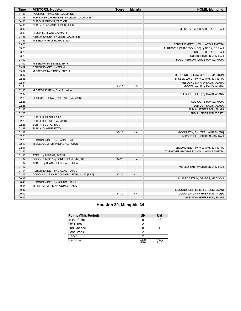| <b>Time</b>    | <b>VISITORS: Houston</b>                    | <b>Score</b> | <b>Margin</b>  | <b>HOME: Memphis</b>                                                          |
|----------------|---------------------------------------------|--------------|----------------|-------------------------------------------------------------------------------|
| 04:08          | FOUL (OFF) by LEWIS, JAZMAINE               |              |                |                                                                               |
| 04:08          | TURNOVER (OFFENSIVE) by LEWIS, JAZMAINE     |              |                |                                                                               |
| 04:08          | SUB OUT: PURVIS, TAE'LOR                    |              |                |                                                                               |
| 04:08          | SUB IN: BLACKSHELL-FAIR, JULIA              |              |                |                                                                               |
| 03:42          |                                             |              |                | MISSED JUMPER by BECK, CORIAH                                                 |
| 03:42          | BLOCK by LEWIS, JAZMAINE                    |              |                |                                                                               |
| 03:36          | REBOUND (DEF) by LEWIS, JAZMAINE            |              |                |                                                                               |
| 03:33          | MISSED 3PTR by BLAIR, LAILA                 |              |                |                                                                               |
| 03:28          |                                             |              |                | REBOUND (DEF) by WILLIAMS, LANETTA                                            |
| 03:20          |                                             |              |                | TURNOVER (OUTOFBOUNDS) by BECK, CORIAH                                        |
| 03:20          |                                             |              |                | SUB OUT: BECK, CORIAH                                                         |
| 03:20          |                                             |              |                | SUB IN: SHUTES, JAMIRAH                                                       |
| 03:09          |                                             |              |                | FOUL (PERSONAL) by STOVALL, MAYA                                              |
| 03:09          | MISSED FT by SIDNEY, ERYKA                  |              |                |                                                                               |
| 03:09          | REBOUND (OFF) by TEAM                       |              |                |                                                                               |
| 03:09          | MISSED FT by SIDNEY, ERYKA                  |              |                |                                                                               |
| 03:07          |                                             |              |                | REBOUND (DEF) by GRIGGS, MADISON                                              |
| 02:58          |                                             |              |                | MISSED LAYUP by WILLIAMS, LANETTA                                             |
| 02:54          |                                             |              |                | REBOUND (OFF) by DAVIS, ALANA                                                 |
| 02:54          |                                             | $31 - 26$    | H <sub>5</sub> | GOOD! LAYUP by DAVIS, ALANA                                                   |
| 02:35          | MISSED LAYUP by BLAIR, LAILA                |              |                |                                                                               |
| 02:32          |                                             |              |                | REBOUND (DEF) by DAVIS, ALANA                                                 |
| 02:28          | FOUL (PERSONAL) by LEWIS, JAZMAINE          |              |                |                                                                               |
| 02:28          |                                             |              |                | SUB OUT: STOVALL, MAYA                                                        |
| 02:28          |                                             |              |                | SUB OUT: DAVIS, ALANA                                                         |
| 02:28          |                                             |              |                | SUB IN: JEFFERSON, EMANI                                                      |
| 02:28          |                                             |              |                | SUB IN: FRIERSON, TYLER                                                       |
| 02:28          | SUB OUT: BLAIR, LAILA                       |              |                |                                                                               |
| 02:28          | SUB OUT: LEWIS, JAZMAINE                    |              |                |                                                                               |
| 02:28          | SUB IN: YOUNG, TIARA                        |              |                |                                                                               |
| 02:28          | SUB IN: DIAGNE, FATOU                       |              |                |                                                                               |
| 02:28          |                                             | 32-26        | H <sub>6</sub> | GOOD! FT by SHUTES, JAMIRAH [FB]                                              |
| 02:28          |                                             |              |                | MISSED FT by SHUTES, JAMIRAH                                                  |
| 02:28<br>02:13 | REBOUND (DEF) by DIAGNE, FATOU              |              |                |                                                                               |
| 02:11          | MISSED JUMPER by DIAGNE, FATOU              |              |                |                                                                               |
| 01:45          |                                             |              |                | REBOUND (DEF) by WILLIAMS, LANETTA<br>TURNOVER (BADPASS) by WILLIAMS, LANETTA |
| 01:45          | STEAL by DIAGNE, FATOU                      |              |                |                                                                               |
| 01:37          | GOOD! JUMPER by JONES, KAMRYN [FB]          | 32-28        | H4             |                                                                               |
| 01:37          | ASSIST by BLACKSHELL-FAIR, JULIA            |              |                |                                                                               |
| 01:17          |                                             |              |                | MISSED 3PTR by SHUTES, JAMIRAH                                                |
| 01:14          | REBOUND (DEF) by DIAGNE, FATOU              |              |                |                                                                               |
| 01:06          | GOOD! LAYUP by BLACKSHELL-FAIR, JULIA [PNT] | 32-30        | H <sub>2</sub> |                                                                               |
| 00:48          |                                             |              |                | MISSED 3PTR by GRIGGS, MADISON                                                |
| 00:45          | REBOUND (DEF) by YOUNG, TIARA               |              |                |                                                                               |
| 00:41          | MISSED JUMPER by YOUNG, TIARA               |              |                |                                                                               |
| 00:37          |                                             |              |                | REBOUND (DEF) by JEFFERSON, EMANI                                             |
| 00:09          |                                             | 34-30        | H4             | GOOD! LAYUP by FRIERSON, TYLER                                                |
| 00:09          |                                             |              |                | ASSIST by JEFFERSON, EMANI                                                    |
|                |                                             |              |                |                                                                               |

#### **Houston 30, Memphis 34**

| <b>Points (This Period)</b> | UH            | UM            |
|-----------------------------|---------------|---------------|
| In the Paint                |               | 10            |
| Off Turns                   |               |               |
| 2nd Chance                  |               |               |
| <b>Fast Break</b>           |               |               |
| Bench                       |               |               |
| Per Poss                    | 0.625<br>5/16 | 1.000<br>8/16 |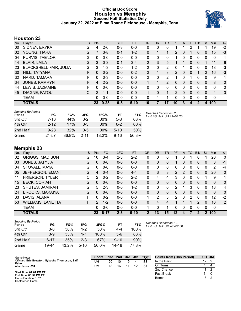#### **Official Box Score Houston vs Memphis Second Half Statistics Only January 22, 2022 at Elma Roane Fieldhouse - Memphis, Tenn.**



#### **Houston 23**

| No. | Player                        | S  | Pts           | FG       | 3FG     | <b>FT</b> | 0R             | <b>DR</b> | TR             | PF            | A | TO       | <b>B</b> lk | Stl      | Min | $+/-$ |
|-----|-------------------------------|----|---------------|----------|---------|-----------|----------------|-----------|----------------|---------------|---|----------|-------------|----------|-----|-------|
| 00  | SIDNEY, ERYKA                 | G  | 4             | $2 - 6$  | $0 - 3$ | $0-0$     | 0              | 0         | 0              |               |   |          |             |          | 19  | $-2$  |
| 02  | YOUNG, TIARA                  | G  |               | $3 - 8$  | $0 - 1$ | $1 - 2$   | 0              |           |                | 2             | 0 |          | 0           | 0        | 15  | $-3$  |
| 04  | PURVIS, TAE'LOR               | G  | 0             | $0-0$    | $0 - 0$ | $0 - 0$   | 0              | 0         | 0              |               | 0 | 0        | 0           | 0        | 0   | 1     |
| 14  | <b>BLAIR, LAILA</b>           | G  | 3             | $0 - 3$  | 0-1     | $3 - 4$   | $\overline{2}$ | 3         | 5              |               |   | $\Omega$ | 0           |          | 11  | 6     |
| 23  | <b>BLACKSHELL-FAIR, JULIA</b> | G  | 3             | $1 - 3$  | $0 - 0$ | $1 - 2$   | 2              | 0         | 2              | 0             |   | ი        | 0           | 0        | 18  | -3    |
| 30  | HILL, TATYANA                 | F  | 0             | $0 - 2$  | $0 - 0$ | $0 - 2$   | 2              | 1         | 3              | $\mathcal{P}$ | 0 | $\Omega$ |             | 2        | 16  | $-3$  |
| 32  | NARD, TAMARA                  | F  | $\Omega$      | $0 - 3$  | $0 - 0$ | $0 - 0$   | $\mathcal{P}$  | 0         | $\overline{2}$ | 1             | 0 | 1        | 0           | $\Omega$ | 9   | 1     |
| 34  | JONES, KAMRYN                 | F. | 4             | $2 - 2$  | $0 - 0$ | $0 - 0$   | 1              | 1         | 2              | $\Omega$      | 0 | $\Omega$ | $\Omega$    | $\Omega$ | 8   | 0     |
| 44  | LEWIS, JAZMAINE               | F. | <sup>0</sup>  | $0 - 0$  | $0 - 0$ | $0 - 0$   | $\Omega$       | 0         | 0              | $\Omega$      | 0 | 0        | 0           | 0        | 0   | 0     |
| 45  | DIAGNE, FATOU                 | C  | $\mathcal{P}$ | $1 - 1$  | $0 - 0$ | $0 - 0$   | 1.             | $\Omega$  | 1              | $\mathcal{P}$ | 0 | $\Omega$ | $\Omega$    | 0        | 4   | 3     |
|     | TEAM                          |    | 0             | $0 - 0$  | $0 - 0$ | $0 - 0$   | 0              |           |                | 0             | 0 | $\Omega$ | $\Omega$    | $\Omega$ | 0   |       |
|     | <b>TOTALS</b>                 |    | 23            | $9 - 28$ | $0 - 5$ | $5 - 10$  | 10             |           | 17             | 10            | 3 | 4        | 2           | 4        | 100 |       |

| <b>Shooting By Period</b><br>Period | FG        | FG%   | 3FG      | 3FG%   | FT       | FT%   | Deadball Rebounds: 2,3<br>Last FG Half: UH 4th-04:23 |
|-------------------------------------|-----------|-------|----------|--------|----------|-------|------------------------------------------------------|
| 3rd Qtr                             | 7-16      | 44%   | 0-2      | $00\%$ | $5-8$    | 63%   |                                                      |
| 4th Qtr                             | $2 - 12$  | 17%   | $0 - 3$  | 00%    | 0-2      | 00%   |                                                      |
| 2nd Half                            | $9 - 28$  | 32%   | $0 - 5$  | $00\%$ | $5-10$   | 50%   |                                                      |
| Game                                | $21 - 57$ | 36.8% | $2 - 11$ | 18.2%  | $9 - 16$ | 56.3% |                                                      |

#### **Memphis 23**

| No. | Player                   | S  | <b>Pts</b>    | <b>FG</b> | 3FG     | <b>FT</b> | <b>OR</b>    | DR       | <b>TR</b>    | PF             | A | TO | <b>B</b> lk  | Stl      | Min      | $+/-$        |
|-----|--------------------------|----|---------------|-----------|---------|-----------|--------------|----------|--------------|----------------|---|----|--------------|----------|----------|--------------|
| 02  | <b>GRIGGS, MADISON</b>   | G  | 10            | $3 - 4$   | $2 - 3$ | $2 - 2$   | 0            | 0        | 0            |                | 0 |    | 0            |          | 20       | 0            |
| 03  | JONES, JATYJIA           | G  | 0             | $0 - 0$   | $0 - 0$ | $0 - 0$   | $\mathbf{0}$ | 0        | $\Omega$     |                | 0 | 0  | $\mathbf{0}$ | 0        | 3        | $-1$         |
| 04  | STOVALL, MAYA            | G  | 0             | $0 - 0$   | $0 - 0$ | $0 - 0$   | 0            | 0        | $\Omega$     | 0              | 0 | 0  | $\Omega$     | 0        | 2        | $-4$         |
| 05  | JEFFERSON, EMANI         | G  | 4             | $0 - 4$   | $0 - 0$ | $4 - 4$   | 0            | 3        | 3            | $\overline{2}$ | 2 | 0  | 0            | 0        | 20       | $\mathbf{0}$ |
| 11  | <b>FRIERSON, TYLER</b>   | С  | 2             | $0 - 2$   | $0 - 0$ | $2 - 2$   | 0            | 4        | 4            | 3              | 0 | 0  | $\Omega$     |          | 9        | 1            |
| 15  | <b>BECK, CORIAH</b>      | G  | 0             | $0 - 0$   | $0 - 0$ | $0 - 0$   | $\Omega$     | 0        | $\mathbf{0}$ | 0              | 0 | 0  | $\Omega$     | $\Omega$ | 0        | $\mathbf{0}$ |
| 23  | SHUTES, JAMIRAH          | G  | 5             | $2 - 3$   | $0 - 0$ | $1 - 2$   | 0            | $\Omega$ | $\Omega$     | 2              | 1 | 3  | $\Omega$     | 0        | 18       | 4            |
| 24  | <b>BROOKS, MAKAIYA</b>   | G  | 0             | $0 - 0$   | $0 - 0$ | $0 - 0$   | $\Omega$     | $\Omega$ | $\Omega$     | 0              | 0 | 0  | $\Omega$     | 0        | $\Omega$ | $\mathbf{0}$ |
| 33  | DAVIS, ALANA             | F  | 0             | $0 - 2$   | $0 - 0$ | $0 - 0$   | 1            | 2        | 3            | 2              | 0 | 2  | $\Omega$     | 0        | 12       | $-2$         |
| 53  | <b>WILLIAMS, LANETTA</b> | F. | $\mathcal{P}$ | $1 - 2$   | $0 - 0$ | $0 - 0$   | 0            | 4        | 4            |                |   |    | 2            | $\Omega$ | 16       | 2            |
|     | <b>TEAM</b>              |    | 0             | $0 - 0$   | $0 - 0$ | $0 - 0$   |              | 0        |              | 0              | 0 | 0  | 0            | 0        | 0        |              |
|     | <b>TOTALS</b>            |    | 23            | $6 - 17$  | $2 - 3$ | $9 - 10$  | 2            | 13       | 15           | 12             | 4 | 7  | 2            | 2        | 100      |              |
|     |                          |    |               |           |         |           |              |          |              |                |   |    |              |          |          |              |

| <b>Shooting By Period</b><br>Period | FG    | FG%   | 3FG     | 3FG%  | FT       | FT%   |
|-------------------------------------|-------|-------|---------|-------|----------|-------|
| 3rd Qtr                             | $3-8$ | 38%   | $1 - 2$ | 50%   | 4-4      | 100%  |
| 4th Otr                             | $3-9$ | 33%   | 1-1     | 100%  | $5-6$    | 83%   |
| 2nd Half                            | հ-17  | 35%   | $2-3$   | 67%   | $9 - 10$ | 90%   |
| Game                                | 19-44 | 43.2% | $5-10$  | 50.0% | 14-18    | 77.8% |

*Deadball Rebounds:* 1,0 *Last FG Half:* UM 4th-02:06

| Game Notes:                                                   | <b>Score</b> | 1st | 2 <sub>nd</sub> | 3rd | 4th | <b>TOT</b> | <b>Points from (This Period)</b> | UH U |  |
|---------------------------------------------------------------|--------------|-----|-----------------|-----|-----|------------|----------------------------------|------|--|
| Officials: Eric Brewton, Nykesha Thompson, Saif<br>Esho       | UH           | 20  | 10              | 19  |     | 53         | In the Paint                     | 12   |  |
| Attendance: 651                                               | UM           | 18  | 16              |     |     | 57         | Off Turns                        |      |  |
|                                                               |              |     |                 |     |     |            | 2nd Chance                       |      |  |
| Start Time: 02:02 PM ET<br>$F \cdot F$ $\cdots$ as so primers |              |     |                 |     |     |            | <b>Fast Break</b>                |      |  |

Start Time: **02:02 PM ET** End Time: **03:59 PM ET** Game Duration: **1:57** Conference Game;

| <b>Points from (This Period)</b> |     | UH UM |
|----------------------------------|-----|-------|
| In the Paint                     | 122 |       |
| Off Turns                        |     |       |
| 2nd Chance                       | 11  | 2     |
| <b>Fast Break</b>                | З   |       |
| Bench                            | 1.3 | - 2   |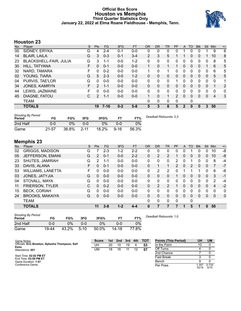#### **Official Box Score Houston vs Memphis Third Quarter Statistics Only January 22, 2022 at Elma Roane Fieldhouse - Memphis, Tenn.**



#### **Houston 23**

| No. | Player                 | S | <b>Pts</b>     | <b>FG</b> | 3FG     | <b>FT</b> | <b>OR</b> | D <sub>R</sub> | TR           | PF            | A        | TO           | <b>Blk</b> | <b>Stl</b>   | Min | $+/-$ |
|-----|------------------------|---|----------------|-----------|---------|-----------|-----------|----------------|--------------|---------------|----------|--------------|------------|--------------|-----|-------|
| 00  | SIDNEY, ERYKA          | G | 4              | $2 - 4$   | $0 - 1$ | $0 - 0$   | 0         | 0              | 0            | 0             |          | 0            | 0          |              | 9   | 6     |
| 14  | <b>BLAIR, LAILA</b>    | G | 3              | $0 - 3$   | $0 - 1$ | $3 - 4$   | 2         | 3              | 5            |               |          | 0            | 0          |              | 10  | 8     |
| 23  | BLACKSHELL-FAIR, JULIA | G | 3              | 1-1       | $0 - 0$ | 1-2       | 0         | 0              | 0            | 0             | 0        | 0            | 0          | 0            | 8   | 5     |
| 30  | HILL, TATYANA          | F | 0              | $0 - 1$   | $0 - 0$ | $0 - 0$   | 1         | 0              | 1            |               | $\Omega$ | $\Omega$     | 0          |              | 6   | 5     |
| 32  | NARD, TAMARA           | F | 0              | $0 - 2$   | $0 - 0$ | $0 - 0$   | 1         | $\Omega$       | 1            | 0             | $\Omega$ | 0            | 0          | $\Omega$     | 6   | 5     |
| 02  | YOUNG, TIARA           | G | 5              | $2 - 3$   | $0 - 0$ | $1 - 2$   | 0         | $\Omega$       | 0            | 0             | $\Omega$ | 0            | 0          | $\mathbf{0}$ | 5   | 5     |
| 04  | PURVIS, TAE'LOR        | G | $\Omega$       | $0 - 0$   | $0 - 0$ | $0 - 0$   | 0         | $\mathbf{0}$   | 0            |               | 0        | 0            | 0          | 0            | 0   | 1     |
| 34  | <b>JONES, KAMRYN</b>   | F | $\overline{2}$ | $1 - 1$   | $0 - 0$ | $0 - 0$   | $\Omega$  | $\mathbf{0}$   | 0            | 0             | $\Omega$ | 0            | 0          | $\mathbf{0}$ | 1   | 2     |
| 44  | LEWIS, JAZMAINE        | F | 0              | $0 - 0$   | $0 - 0$ | $0 - 0$   | 0         | 0              | 0            | 0             | 0        | 0            | 0          | 0            | 0   | 0     |
| 45  | DIAGNE, FATOU          | С | $\overline{2}$ | $1 - 1$   | $0-0$   | $0 - 0$   | 1         | $\mathbf{0}$   | $\mathbf{1}$ | $\mathcal{P}$ | $\Omega$ | 0            | 0          | $\Omega$     | 4   | 3     |
|     | <b>TEAM</b>            |   |                |           |         |           | 0         | 0              | 0            | 0             |          | 0            |            |              |     |       |
|     | <b>TOTALS</b>          |   | 19             | $7 - 16$  | $0 - 2$ | $5 - 8$   | 5         | 3              | 8            | 5             | 2        | $\mathbf{0}$ | 0          | 3            | 50  |       |

| <b>Shooting By Period</b><br>Period | FG    | FG%   | 3FG      | 3FG%  | FТ       | FT%   | Deadball Rebounds: 2,3 |
|-------------------------------------|-------|-------|----------|-------|----------|-------|------------------------|
| 2nd Half                            | 0-0   | 0%    | 0-0      | $0\%$ | 0-0      | 0%    |                        |
| Game                                | 21-57 | 36.8% | $2 - 11$ | 18.2% | $9 - 16$ | 56.3% |                        |

#### **Memphis 23**

| No. | Player                   | S | <b>Pts</b>     | FG      | 3FG     | <b>FT</b> | <b>OR</b> | <b>DR</b>      | TR          | PF | A            | TO       | <b>Blk</b> | Stl          | Min            | $+/-$        |
|-----|--------------------------|---|----------------|---------|---------|-----------|-----------|----------------|-------------|----|--------------|----------|------------|--------------|----------------|--------------|
| 02  | <b>GRIGGS, MADISON</b>   | G |                | $2 - 3$ | 1-2     | $2 - 2$   | 0         | 0              | 0           | 0  | 0            |          | 0          | 0            | 10             | -8           |
| 05  | JEFFERSON, EMANI         | G | $\overline{2}$ | $0 - 1$ | $0 - 0$ | $2 - 2$   | 0         | 2              | 2           |    | 0            | 0        | 0          | $\mathbf{0}$ | 10             | -8           |
| 23  | SHUTES, JAMIRAH          | G | 2              | 1-1     | $0 - 0$ | $0 - 0$   | 0         | 0              | 0           | 2  | 0            |          | 0          | 0            | 8              | $-4$         |
| 33  | DAVIS, ALANA             | F | 0              | $0 - 1$ | $0 - 0$ | $0 - 0$   | 0         |                | $\mathbf 1$ | 2  | $\mathbf{0}$ | 2        | $\Omega$   | $\mathbf{0}$ | 7              | $-7$         |
| 53  | <b>WILLIAMS, LANETTA</b> | F | 0              | $0 - 0$ | $0 - 0$ | $0 - 0$   | 0         | 2              | 2           | 0  |              |          |            | $\Omega$     | 6              | -6           |
| 03  | JONES, JATYJIA           | G | $\Omega$       | $0 - 0$ | $0 - 0$ | $0 - 0$   | 0         | $\Omega$       | 0           | 1  | $\Omega$     | 0        | 0          | $\Omega$     | 3              | -1           |
| 04  | STOVALL, MAYA            | G | 0              | $0 - 0$ | $0 - 0$ | $0 - 0$   | $\Omega$  | $\Omega$       | 0           | 0  | $\Omega$     | $\Omega$ | 0          | $\Omega$     | 2              | -4           |
| 11  | <b>FRIERSON, TYLER</b>   | С | 0              | $0 - 2$ | $0 - 0$ | $0 - 0$   | 0         | $\overline{2}$ | 2           |    | 0            | 0        | 0          | $\Omega$     | $\overline{4}$ | $-2$         |
| 15  | <b>BECK, CORIAH</b>      | G | 0              | $0 - 0$ | $0-0$   | $0 - 0$   | 0         | 0              | 0           | 0  | 0            | 0        | 0          | 0            | 0              | 0            |
| 24  | <b>BROOKS, MAKAIYA</b>   | G | 0              | $0 - 0$ | $0 - 0$ | $0 - 0$   | $\Omega$  | 0              | 0           | 0  | $\Omega$     | $\Omega$ | $\Omega$   | $\mathbf{0}$ | $\mathbf{0}$   | $\mathbf{0}$ |
|     | TEAM                     |   |                |         |         |           | 0         | 0              | 0           | 0  |              | 0        |            |              |                |              |
|     | <b>TOTALS</b>            |   | 11             | $3 - 8$ | $1 - 2$ | 4-4       | $\bf{0}$  | 7              |             |    |              | 5        | 1          | 0            | 50             |              |

| <b>Shooting By Period</b><br>Period | FG    | FG%   | 3FG    | 3FG%  | F٦    | FT%   |
|-------------------------------------|-------|-------|--------|-------|-------|-------|
| 2nd Half                            | 0-0   | 9%    | ი-ი    | $0\%$ | 0-0   | $0\%$ |
| Game                                | 19-44 | 43.2% | $5-10$ | 50.0% | 14-18 | 77.8% |

*Deadball Rebounds:* 1,0

| Game Notes:                                      | <b>Score</b> | 1st l | 2nd | 3rd | 4th | <b>TOT</b> | <b>Points (This Period)</b> | UH             | UM            |
|--------------------------------------------------|--------------|-------|-----|-----|-----|------------|-----------------------------|----------------|---------------|
| Officials: Eric Brewton, Nykesha Thompson, Saif  | UH           | 20    | 10  | 19  |     | 53         | In the Paint                |                |               |
| Esho<br>Attendance: 651                          | UM           | 18    | 16  |     | 12  | 57         | Off Turns                   |                |               |
|                                                  |              |       |     |     |     |            | 2nd Chance                  |                |               |
| Start Time: 02:02 PM ET<br>End Time: 03:59 PM ET |              |       |     |     |     |            | Fast Break                  |                |               |
| Game Duration: 1:57                              |              |       |     |     |     |            | Bench                       |                |               |
| Conference Game:                                 |              |       |     |     |     |            | Per Poss                    | . 357<br>10/14 | 0.733<br>5/15 |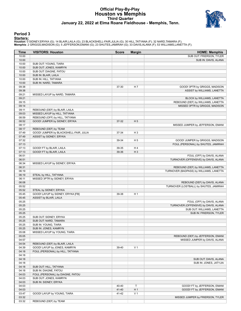#### **Official Play-By-Play Houston vs Memphis Third Quarter January 22, 2022 at Elma Roane Fieldhouse - Memphis, Tenn.**



#### **Period 3**

<mark>Startersː</mark><br>Houston: 0 SIDNEY,ERYKA (G); 14 BLAIR,LAILA (G); 23 BLACKSHELL-FAIR,JULIA (G); 30 HILL,TATYANA (F); 32 NARD,TAMARA (F);<br>**Memphis**: 2 GRIGGS,MADISON (G); 5 JEFFERSON,EMANI (G); 23 SHUTES,JAMIRAH (G); 33 DAVIS,AL

| Time           | <b>VISITORS: Houston</b>               | <b>Score</b> | <b>Margin</b>  | <b>HOME: Memphis</b>                    |
|----------------|----------------------------------------|--------------|----------------|-----------------------------------------|
| 10:00          |                                        |              |                | SUB OUT: FRIERSON, TYLER                |
| 10:00          |                                        |              |                | SUB IN: DAVIS, ALANA                    |
| 10:00          | SUB OUT: YOUNG, TIARA                  |              |                |                                         |
| 10:00          | SUB OUT: JONES, KAMRYN                 |              |                |                                         |
| 10:00          | SUB OUT: DIAGNE, FATOU                 |              |                |                                         |
| 10:00          | SUB IN: BLAIR, LAILA                   |              |                |                                         |
| 10:00          | SUB IN: HILL, TATYANA                  |              |                |                                         |
| 10:00          | SUB IN: NARD, TAMARA                   |              |                |                                         |
| 09:38          |                                        | 37-30        | H 7            | GOOD! 3PTR by GRIGGS, MADISON           |
| 09:38          |                                        |              |                | ASSIST by WILLIAMS, LANETTA             |
| 09:21          | MISSED LAYUP by NARD, TAMARA           |              |                |                                         |
| 09:21          |                                        |              |                | BLOCK by WILLIAMS, LANETTA              |
| 09:15          |                                        |              |                | REBOUND (DEF) by WILLIAMS, LANETTA      |
| 09:14          |                                        |              |                | MISSED 3PTR by GRIGGS, MADISON          |
| 09:11          | REBOUND (DEF) by BLAIR, LAILA          |              |                |                                         |
| 09:03          | MISSED LAYUP by HILL, TATYANA          |              |                |                                         |
| 08:59<br>08:52 | REBOUND (OFF) by HILL, TATYANA         | 37-32        | H <sub>5</sub> |                                         |
| 08:17          | GOOD! JUMPER by SIDNEY, ERYKA          |              |                |                                         |
| 08:17          | REBOUND (DEF) by TEAM                  |              |                | MISSED JUMPER by JEFFERSON, EMANI       |
| 07:49          | GOOD! JUMPER by BLACKSHELL-FAIR, JULIA | 37-34        | H <sub>3</sub> |                                         |
| 07:49          | ASSIST by SIDNEY, ERYKA                |              |                |                                         |
| 07:32          |                                        | 39-34        | H <sub>5</sub> | GOOD! JUMPER by GRIGGS, MADISON         |
| 07:13          |                                        |              |                | FOUL (PERSONAL) by SHUTES, JAMIRAH      |
| 07:13          | GOOD! FT by BLAIR, LAILA               | 39-35        | H4             |                                         |
| 07:13          | GOOD! FT by BLAIR, LAILA               | 39-36        | $H_3$          |                                         |
| 06:51          |                                        |              |                | FOUL (OFF) by DAVIS, ALANA              |
| 06:51          |                                        |              |                | TURNOVER (OFFENSIVE) by DAVIS, ALANA    |
| 06:34          | MISSED LAYUP by SIDNEY, ERYKA          |              |                |                                         |
| 06:31          |                                        |              |                | REBOUND (DEF) by WILLIAMS, LANETTA      |
| 06:19          |                                        |              |                | TURNOVER (BADPASS) by WILLIAMS, LANETTA |
| 06:19          | STEAL by HILL, TATYANA                 |              |                |                                         |
| 06:11          | MISSED 3PTR by SIDNEY, ERYKA           |              |                |                                         |
| 06:08          |                                        |              |                | REBOUND (DEF) by DAVIS, ALANA           |
| 05:52          |                                        |              |                | TURNOVER (LOSTBALL) by SHUTES, JAMIRAH  |
| 05:52          | STEAL by SIDNEY, ERYKA                 |              |                |                                         |
| 05:45          | GOOD! LAYUP by SIDNEY, ERYKA [FB]      | 39-38        | H <sub>1</sub> |                                         |
| 05:45          | ASSIST by BLAIR, LAILA                 |              |                |                                         |
| 05:25          |                                        |              |                | FOUL (OFF) by DAVIS, ALANA              |
| 05:25          |                                        |              |                | TURNOVER (OFFENSIVE) by DAVIS, ALANA    |
| 05:25          |                                        |              |                | SUB OUT: WILLIAMS, LANETTA              |
| 05:25          |                                        |              |                | SUB IN: FRIERSON, TYLER                 |
| 05:25          | SUB OUT: SIDNEY, ERYKA                 |              |                |                                         |
| 05:25          | SUB OUT: NARD, TAMARA                  |              |                |                                         |
| 05:25          | SUB IN: YOUNG, TIARA                   |              |                |                                         |
| 05:25          | SUB IN: JONES, KAMRYN                  |              |                |                                         |
| 05:08          | MISSED LAYUP by YOUNG, TIARA           |              |                |                                         |
| 05:05          |                                        |              |                | REBOUND (DEF) by JEFFERSON, EMANI       |
| 04:57          |                                        |              |                | MISSED JUMPER by DAVIS, ALANA           |
| 04:54          | REBOUND (DEF) by BLAIR, LAILA          |              |                |                                         |
| 04:39          | GOOD! LAYUP by JONES, KAMRYN           | 39-40        | V <sub>1</sub> |                                         |
| 04:18          | FOUL (PERSONAL) by HILL, TATYANA       |              |                |                                         |
| 04:18          |                                        |              |                |                                         |
| 04:18          |                                        |              |                | SUB OUT: DAVIS, ALANA                   |
| 04:18          |                                        |              |                | SUB IN: JONES, JATYJIA                  |
| 04:18          | SUB OUT: HILL, TATYANA                 |              |                |                                         |
| 04:18          | SUB IN: DIAGNE, FATOU                  |              |                |                                         |
| 04:03          | FOUL (PERSONAL) by DIAGNE, FATOU       |              |                |                                         |
| 04:03          | SUB OUT: JONES, KAMRYN                 |              |                |                                         |
| 04:03          | SUB IN: SIDNEY, ERYKA                  |              |                |                                         |
| 04:03          |                                        | 40-40        | Т              | GOOD! FT by JEFFERSON, EMANI            |
| 04:03          |                                        | 41-40        | H <sub>1</sub> | GOOD! FT by JEFFERSON, EMANI            |
| 03:47          | GOOD! LAYUP by YOUNG, TIARA            | 41-42        | V <sub>1</sub> |                                         |
| 03:32          |                                        |              |                | MISSED JUMPER by FRIERSON, TYLER        |
| 03:32          | REBOUND (DEF) by TEAM                  |              |                |                                         |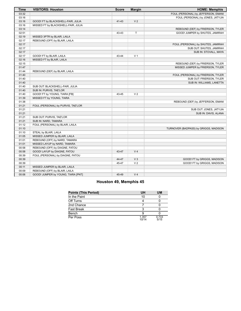| <b>Time</b> | <b>VISITORS: Houston</b>            | <b>Score</b> | <b>Margin</b>  | <b>HOME: Memphis</b>                  |
|-------------|-------------------------------------|--------------|----------------|---------------------------------------|
| 03:32       |                                     |              |                | FOUL (PERSONAL) by JEFFERSON, EMANI   |
| 03:16       |                                     |              |                | FOUL (PERSONAL) by JONES, JATYJIA     |
| 03:16       | GOOD! FT by BLACKSHELL-FAIR, JULIA  | $41 - 43$    | V <sub>2</sub> |                                       |
| 03:16       | MISSED FT by BLACKSHELL-FAIR, JULIA |              |                |                                       |
| 03:14       |                                     |              |                | REBOUND (DEF) by FRIERSON, TYLER      |
| 02:51       |                                     | 43-43        | T.             | GOOD! JUMPER by SHUTES, JAMIRAH       |
| 02:19       | MISSED 3PTR by BLAIR, LAILA         |              |                |                                       |
| 02:17       | REBOUND (OFF) by BLAIR, LAILA       |              |                |                                       |
| 02:17       |                                     |              |                | FOUL (PERSONAL) by SHUTES, JAMIRAH    |
| 02:17       |                                     |              |                | SUB OUT: SHUTES, JAMIRAH              |
| 02:17       |                                     |              |                | SUB IN: STOVALL, MAYA                 |
| 02:17       | GOOD! FT by BLAIR, LAILA            | 43-44        | V <sub>1</sub> |                                       |
| 02:16       | MISSED FT by BLAIR, LAILA           |              |                |                                       |
| 02:15       |                                     |              |                | REBOUND (DEF) by FRIERSON, TYLER      |
| 01:47       |                                     |              |                | MISSED JUMPER by FRIERSON, TYLER      |
| 01:44       | REBOUND (DEF) by BLAIR, LAILA       |              |                |                                       |
| 01:40       |                                     |              |                | FOUL (PERSONAL) by FRIERSON, TYLER    |
| 01:40       |                                     |              |                | SUB OUT: FRIERSON, TYLER              |
| 01:40       |                                     |              |                | SUB IN: WILLIAMS, LANETTA             |
| 01:40       | SUB OUT: BLACKSHELL-FAIR, JULIA     |              |                |                                       |
| 01:40       | SUB IN: PURVIS, TAE'LOR             |              |                |                                       |
| 01:40       | GOOD! FT by YOUNG, TIARA [FB]       | 43-45        | V <sub>2</sub> |                                       |
| 01:39       | MISSED FT by YOUNG, TIARA           |              |                |                                       |
| 01:38       |                                     |              |                | REBOUND (DEF) by JEFFERSON, EMANI     |
| 01:21       | FOUL (PERSONAL) by PURVIS, TAE'LOR  |              |                |                                       |
| 01:21       |                                     |              |                | SUB OUT: JONES, JATYJIA               |
| 01:21       |                                     |              |                | SUB IN: DAVIS, ALANA                  |
| 01:21       | SUB OUT: PURVIS, TAE'LOR            |              |                |                                       |
| 01:21       | SUB IN: NARD, TAMARA                |              |                |                                       |
| 01:12       | FOUL (PERSONAL) by BLAIR, LAILA     |              |                |                                       |
| 01:10       |                                     |              |                | TURNOVER (BADPASS) by GRIGGS, MADISON |
| 01:10       | STEAL by BLAIR, LAILA               |              |                |                                       |
| 01:05       | MISSED JUMPER by BLAIR, LAILA       |              |                |                                       |
| 01:01       | REBOUND (OFF) by NARD, TAMARA       |              |                |                                       |
| 01:01       | MISSED LAYUP by NARD, TAMARA        |              |                |                                       |
| 00:58       | REBOUND (OFF) by DIAGNE, FATOU      |              |                |                                       |
| 00:58       | GOOD! LAYUP by DIAGNE, FATOU        | 43-47        | V <sub>4</sub> |                                       |
| 00:39       | FOUL (PERSONAL) by DIAGNE, FATOU    |              |                |                                       |
| 00:39       |                                     | 44-47        | V <sub>3</sub> | GOOD! FT by GRIGGS, MADISON           |
| 00:39       |                                     | 45-47        | V <sub>2</sub> | GOOD! FT by GRIGGS, MADISON           |
| 00:11       | MISSED JUMPER by BLAIR, LAILA       |              |                |                                       |
| 00:09       | REBOUND (OFF) by BLAIR, LAILA       |              |                |                                       |
| 00:06       | GOOD! JUMPER by YOUNG, TIARA [PNT]  | 45-49        | V <sub>4</sub> |                                       |

#### **Houston 49, Memphis 45**

| <b>Points (This Period)</b> | UH             | <b>UM</b>     |
|-----------------------------|----------------|---------------|
| In the Paint                | 10             |               |
| Off Turns                   |                |               |
| 2nd Chance                  |                |               |
| Fast Break                  |                |               |
| Bench                       |                |               |
| Per Poss                    | 1.357<br>10/14 | 0.733<br>5/15 |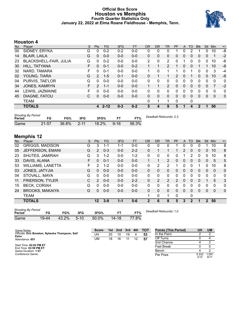#### **Official Box Score Houston vs Memphis Fourth Quarter Statistics Only January 22, 2022 at Elma Roane Fieldhouse - Memphis, Tenn.**



#### **Houston 4**

| No. | Player                        | S | <b>Pts</b>     | <b>FG</b> | 3FG     | <b>FT</b> | <b>OR</b>    | D <sub>R</sub> | TR             | PF       | A        | TO | <b>Blk</b> | <b>Stl</b>   | Min            | $+/-$       |
|-----|-------------------------------|---|----------------|-----------|---------|-----------|--------------|----------------|----------------|----------|----------|----|------------|--------------|----------------|-------------|
| 00  | SIDNEY, ERYKA                 | G | 0              | $0 - 2$   | $0 - 2$ | $0 - 0$   | 0            | 0              | 0              |          | 0        |    |            | 0            | 10             | -8          |
| 14  | <b>BLAIR, LAILA</b>           | G | 0              | $0 - 0$   | $0 - 0$ | $0 - 0$   | 0            | $\mathbf{0}$   | 0              | 0        | 0        | 0  | 0          | $\mathbf{0}$ | 1              | $-2$        |
| 23  | <b>BLACKSHELL-FAIR, JULIA</b> | G | 0              | $0 - 2$   | $0 - 0$ | $0 - 0$   | 2            | 0              | 2              | 0        |          | 0  | 0          | 0            | 10             | -8          |
| 30  | HILL, TATYANA                 | F | 0              | $0 - 1$   | $0 - 0$ | $0 - 2$   |              |                | $\overline{2}$ | 1        | $\Omega$ | 0  |            |              | 10             | -8          |
| 32  | NARD, TAMARA                  | F | 0              | $0 - 1$   | $0 - 0$ | $0-0$     |              | $\Omega$       |                |          | 0        |    | 0          | 0            | 3              | -4          |
| 02  | YOUNG, TIARA                  | G | $\overline{2}$ | $1 - 5$   | $0 - 1$ | $0 - 0$   | $\Omega$     |                | 1              | 2        | $\Omega$ |    | 0          | $\Omega$     | 10             | -8          |
| 04  | PURVIS, TAE'LOR               | G | 0              | $0 - 0$   | $0 - 0$ | $0-0$     | 0            | 0              | 0              | 0        | $\Omega$ | 0  | 0          | $\Omega$     | 0              | 0           |
| 34  | <b>JONES, KAMRYN</b>          | F | $\mathcal{P}$  | $1 - 1$   | $0 - 0$ | $0 - 0$   | 1            |                | $\mathcal{P}$  | $\Omega$ | $\Omega$ | 0  | 0          | $\Omega$     | $\overline{7}$ | $-2$        |
| 44  | LEWIS, JAZMAINE               | F | 0              | $0 - 0$   | $0 - 0$ | $0 - 0$   | 0            | $\mathbf{0}$   | 0              | 0        | $\Omega$ | 0  | 0          | $\mathbf 0$  | 0              | 0           |
| 45  | DIAGNE, FATOU                 | С | 0              | $0 - 0$   | $0-0$   | $0 - 0$   | 0            | $\mathbf{0}$   | 0              | $\Omega$ | $\Omega$ | 0  | 0          | $\Omega$     | $\Omega$       | $\mathbf 0$ |
|     | <b>TEAM</b>                   |   |                |           |         |           | $\mathbf{0}$ | 1              | 1              | 0        |          | 0  |            |              |                |             |
|     | <b>TOTALS</b>                 |   | 4              | $2 - 12$  | $0 - 3$ | $0-2$     | 5            | 4              | 9              | 5        |          | 4  | 2          |              | 50             |             |
|     |                               |   |                |           |         |           |              |                |                |          |          |    |            |              |                |             |

| <b>Shooting By Period</b><br>Period | FG        | FG%   | 3FG      | 3FG%  | FТ       | FT%   | Deadball Rebounds: 2,3 |
|-------------------------------------|-----------|-------|----------|-------|----------|-------|------------------------|
| Game                                | $21 - 57$ | 36.8% | $2 - 11$ | 18.2% | $9 - 16$ | 56.3% |                        |

#### **Memphis 12**

| No. | Player                   | S  | <b>Pts</b> | FG      | 3FG     | <b>FT</b> | <b>OR</b>    | <b>DR</b> | <b>TR</b>      | PF | A            | <b>TO</b>    | <b>Blk</b> | Stl            | Min      | $+/-$       |
|-----|--------------------------|----|------------|---------|---------|-----------|--------------|-----------|----------------|----|--------------|--------------|------------|----------------|----------|-------------|
| 02  | <b>GRIGGS, MADISON</b>   | G  | 3          | 1-1     | 1-1     | $0-0$     | 0            | 0         | 0              |    | 0            | 0            |            |                | 10       | 8           |
| 05  | JEFFERSON, EMANI         | G  | 2          | $0 - 3$ | $0 - 0$ | $2 - 2$   | $\Omega$     |           | 1              |    | 2            | $\mathbf{0}$ | 0          | 0              | 10       | 8           |
| 23  | SHUTES, JAMIRAH          | G  | 3          | $1 - 2$ | $0 - 0$ | $1 - 2$   | 0            | 0         | 0              | 0  |              | 2            | 0          | 0              | 10       | 8           |
| 33  | DAVIS, ALANA             | F. | 0          | $0 - 1$ | $0 - 0$ | $0 - 0$   | 1            |           | $\overline{2}$ | 0  | $\Omega$     | $\Omega$     | 0          | $\mathbf{0}$   | 5        | 5           |
| 53  | <b>WILLIAMS, LANETTA</b> | F  | 2          | $1 - 2$ | $0 - 0$ | $0 - 0$   | 0            | 2         | 2              |    | 0            | 0            |            | 0              | 10       | 8           |
| 03  | JONES, JATYJIA           | G  | 0          | $0 - 0$ | $0 - 0$ | $0 - 0$   | $\mathbf{0}$ | 0         | $\Omega$       | 0  | 0            | $\mathbf{0}$ | 0          | $\overline{0}$ | 0        | $\mathbf 0$ |
| 04  | STOVALL, MAYA            | G  | 0          | $0 - 0$ | $0 - 0$ | $0-0$     | 0            | 0         | 0              | 0  | 0            | ∩            | 0          | $\Omega$       | 0        | 0           |
| 11  | <b>FRIERSON, TYLER</b>   | C  | 2          | $0 - 0$ | $0 - 0$ | $2 - 2$   | $\Omega$     | 2         | 2              | 2  | $\mathbf{0}$ | $\Omega$     | 0          |                | 5        | 3           |
| 15  | <b>BECK, CORIAH</b>      | G  | 0          | $0 - 0$ | $0 - 0$ | $0 - 0$   | $\Omega$     | 0         | 0              | 0  | 0            | 0            | 0          | 0              | $\Omega$ | 0           |
| 24  | <b>BROOKS, MAKAIYA</b>   | G  | 0          | $0 - 0$ | $0 - 0$ | $0 - 0$   | $\mathbf{0}$ | 0         | $\mathbf{0}$   | 0  | $\mathbf{0}$ | $\Omega$     | $\Omega$   | $\mathbf{0}$   | 0        | $\mathbf 0$ |
|     | <b>TEAM</b>              |    |            |         |         |           |              | 0         | 1              | 0  |              | 0            |            |                |          |             |
|     | <b>TOTALS</b>            |    | 12         | $3-9$   | $1 - 1$ | $5-6$     | 2            | 6         | 8              | 5  | 3            | $\mathbf{2}$ | 1          | $\mathbf{2}$   | 50       |             |
|     |                          |    |            |         |         |           |              |           |                |    |              |              |            |                |          |             |

| <b>Shooting By Period</b> |       |       |        |       |       |       |  |  |  |  |  |
|---------------------------|-------|-------|--------|-------|-------|-------|--|--|--|--|--|
| Period                    | FG    | FG%   | 3FG    | 3FG%  | FТ    | FT%   |  |  |  |  |  |
| Game                      | 19-44 | 43.2% | $5-10$ | 50.0% | 14-18 | 77.8% |  |  |  |  |  |

*Deadball Rebounds:* 1,0

| Game Notes:                                             | <b>Score</b> | 1st | 2nd | 3rd | 4th | <b>TOT</b> | <b>Points (This Period)</b> | UH            | <b>UM</b>     |
|---------------------------------------------------------|--------------|-----|-----|-----|-----|------------|-----------------------------|---------------|---------------|
| Officials: Eric Brewton, Nykesha Thompson, Saif<br>Esho | UH           | 20  | 10  | 19  | д   | 53         | In the Paint                |               |               |
| Attendance: 651                                         | UM           | 18  | 16  |     |     | 57         | Off Turns                   |               |               |
|                                                         |              |     |     |     |     |            | 2nd Chance                  |               |               |
| Start Time: 02:02 PM ET<br>End Time: 03:59 PM ET        |              |     |     |     |     |            | <b>Fast Break</b>           |               |               |
| Game Duration: 1:57                                     |              |     |     |     |     |            | Bench                       |               |               |
| Conference Game:                                        |              |     |     |     |     |            | Per Poss                    | 0.333<br>2/12 | 1.091<br>6/11 |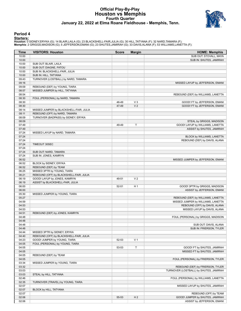#### **Official Play-By-Play Houston vs Memphis Fourth Quarter January 22, 2022 at Elma Roane Fieldhouse - Memphis, Tenn.**



#### **Period 4**

<mark>Startersː</mark><br>Houston: 0 SIDNEY,ERYKA (G); 14 BLAIR,LAILA (G); 23 BLACKSHELL-FAIR,JULIA (G); 30 HILL,TATYANA (F); 32 NARD,TAMARA (F);<br>**Memphis**: 2 GRIGGS,MADISON (G); 5 JEFFERSON,EMANI (G); 23 SHUTES,JAMIRAH (G); 33 DAVIS,AL

| Time           | <b>VISITORS: Houston</b>                | <b>Score</b> | <b>Margin</b>  | <b>HOME: Memphis</b>                                     |
|----------------|-----------------------------------------|--------------|----------------|----------------------------------------------------------|
| 10:00          |                                         |              |                | SUB OUT: STOVALL, MAYA                                   |
| 10:00          |                                         |              |                | SUB IN: SHUTES, JAMIRAH                                  |
| 10:00          | SUB OUT: BLAIR, LAILA                   |              |                |                                                          |
| 10:00          | SUB OUT: DIAGNE, FATOU                  |              |                |                                                          |
| 10:00          | SUB IN: BLACKSHELL-FAIR, JULIA          |              |                |                                                          |
| 10:00          | SUB IN: HILL, TATYANA                   |              |                |                                                          |
| 09:43          | TURNOVER (LOSTBALL) by NARD, TAMARA     |              |                |                                                          |
| 09:16          |                                         |              |                | MISSED LAYUP by JEFFERSON, EMANI                         |
| 09:09          | REBOUND (DEF) by YOUNG, TIARA           |              |                |                                                          |
| 08:57          | MISSED JUMPER by HILL, TATYANA          |              |                |                                                          |
| 08:54          |                                         |              |                | REBOUND (DEF) by WILLIAMS, LANETTA                       |
| 08:30          | FOUL (PERSONAL) by NARD, TAMARA         |              |                |                                                          |
| 08:30          |                                         | 46-49        | $V_3$          | GOOD! FT by JEFFERSON, EMANI                             |
| 08:30          |                                         | 47-49        | V <sub>2</sub> | GOOD! FT by JEFFERSON, EMANI                             |
| 08:14          | MISSED JUMPER by BLACKSHELL-FAIR, JULIA |              |                |                                                          |
| 08:11          | REBOUND (OFF) by NARD, TAMARA           |              |                |                                                          |
| 08:09          | TURNOVER (BADPASS) by SIDNEY, ERYKA     |              |                |                                                          |
| 08:09          |                                         |              |                | STEAL by GRIGGS, MADISON                                 |
| 07:49          |                                         | 49-49        | T              | GOOD! LAYUP by WILLIAMS, LANETTA                         |
| 07:49          |                                         |              |                | ASSIST by SHUTES, JAMIRAH                                |
| 07:24          | MISSED LAYUP by NARD, TAMARA            |              |                |                                                          |
| 07:24          |                                         |              |                | BLOCK by WILLIAMS, LANETTA                               |
| 07:24          |                                         |              |                | REBOUND (DEF) by DAVIS, ALANA                            |
| 07:24          | TIMEOUT 30SEC                           |              |                |                                                          |
| 07:24          |                                         |              |                |                                                          |
| 07:24          | SUB OUT: NARD, TAMARA                   |              |                |                                                          |
| 07:24          | SUB IN: JONES, KAMRYN                   |              |                |                                                          |
| 06:52          |                                         |              |                | MISSED JUMPER by JEFFERSON, EMANI                        |
| 06:52          | BLOCK by SIDNEY, ERYKA                  |              |                |                                                          |
| 06:52          | REBOUND (DEF) by TEAM                   |              |                |                                                          |
| 06:25          | MISSED 3PTR by YOUNG, TIARA             |              |                |                                                          |
| 06:21          | REBOUND (OFF) by BLACKSHELL-FAIR, JULIA |              |                |                                                          |
| 06:19          | GOOD! LAYUP by JONES, KAMRYN            | 49-51        | V <sub>2</sub> |                                                          |
| 06:19          | ASSIST by BLACKSHELL-FAIR, JULIA        |              |                |                                                          |
| 06:00          |                                         | $52 - 51$    | H <sub>1</sub> | GOOD! 3PTR by GRIGGS, MADISON                            |
| 06:00          |                                         |              |                | ASSIST by JEFFERSON, EMANI                               |
| 05:30          | MISSED JUMPER by YOUNG, TIARA           |              |                |                                                          |
| 05:27          |                                         |              |                | REBOUND (DEF) by WILLIAMS, LANETTA                       |
| 04:59          |                                         |              |                | MISSED JUMPER by WILLIAMS, LANETTA                       |
| 04:53          |                                         |              |                | REBOUND (OFF) by DAVIS, ALANA                            |
| 04:53          |                                         |              |                | MISSED LAYUP by DAVIS, ALANA                             |
| 04:51          | REBOUND (DEF) by JONES, KAMRYN          |              |                |                                                          |
| 04:48          |                                         |              |                | FOUL (PERSONAL) by GRIGGS, MADISON                       |
| 04:48          |                                         |              |                |                                                          |
| 04:48          |                                         |              |                | SUB OUT: DAVIS, ALANA                                    |
| 04:48          |                                         |              |                | SUB IN: FRIERSON, TYLER                                  |
| 04:44          | MISSED 3PTR by SIDNEY, ERYKA            |              |                |                                                          |
| 04:40          | REBOUND (OFF) by BLACKSHELL-FAIR, JULIA |              |                |                                                          |
| 04:23          | GOOD! JUMPER by YOUNG, TIARA            | 52-53        | V <sub>1</sub> |                                                          |
| 04:05          | FOUL (PERSONAL) by YOUNG, TIARA         |              |                |                                                          |
| 04:05          |                                         | 53-53        | Τ              | GOOD! FT by SHUTES, JAMIRAH                              |
| 04:05          |                                         |              |                | MISSED FT by SHUTES, JAMIRAH                             |
| 04:05          | REBOUND (DEF) by TEAM                   |              |                |                                                          |
| 04:05          |                                         |              |                | FOUL (PERSONAL) by FRIERSON, TYLER                       |
| 03:34          | MISSED JUMPER by YOUNG, TIARA           |              |                |                                                          |
| 03:32          |                                         |              |                | REBOUND (DEF) by FRIERSON, TYLER                         |
| 03:03          |                                         |              |                | TURNOVER (LOSTBALL) by SHUTES, JAMIRAH                   |
| 03:03          | STEAL by HILL, TATYANA                  |              |                |                                                          |
| 02:46          |                                         |              |                | FOUL (PERSONAL) by WILLIAMS, LANETTA                     |
| 02:35          | TURNOVER (TRAVEL) by YOUNG, TIARA       |              |                |                                                          |
| 02:07          |                                         |              |                | MISSED LAYUP by SHUTES, JAMIRAH                          |
| 02:07          | BLOCK by HILL, TATYANA                  |              |                |                                                          |
| 02:07<br>02:06 |                                         |              | H <sub>2</sub> | REBOUND (OFF) by TEAM<br>GOOD! JUMPER by SHUTES, JAMIRAH |
| 02:06          |                                         | 55-53        |                | ASSIST by JEFFERSON, EMANI                               |
|                |                                         |              |                |                                                          |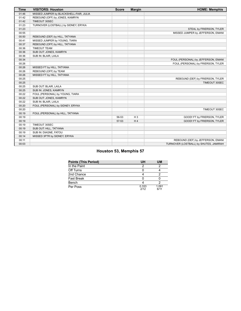| <b>Time</b> | <b>VISITORS: Houston</b>                | <b>Score</b> | <b>Margin</b> | <b>HOME: Memphis</b>                   |
|-------------|-----------------------------------------|--------------|---------------|----------------------------------------|
| 01:46       | MISSED JUMPER by BLACKSHELL-FAIR, JULIA |              |               |                                        |
| 01:42       | REBOUND (OFF) by JONES, KAMRYN          |              |               |                                        |
| 01:42       | TIMEOUT 30SEC                           |              |               |                                        |
| 01:23       | TURNOVER (LOSTBALL) by SIDNEY, ERYKA    |              |               |                                        |
| 01:23       |                                         |              |               | STEAL by FRIERSON, TYLER               |
| 00:55       |                                         |              |               | MISSED JUMPER by JEFFERSON, EMANI      |
| 00:50       | REBOUND (DEF) by HILL, TATYANA          |              |               |                                        |
| 00:41       | MISSED JUMPER by YOUNG, TIARA           |              |               |                                        |
| 00:37       | REBOUND (OFF) by HILL, TATYANA          |              |               |                                        |
| 00:36       | <b>TIMEOUT TEAM</b>                     |              |               |                                        |
| 00:36       | SUB OUT: JONES, KAMRYN                  |              |               |                                        |
| 00:36       | SUB IN: BLAIR, LAILA                    |              |               |                                        |
| 00:34       |                                         |              |               | FOUL (PERSONAL) by JEFFERSON, EMANI    |
| 00:26       |                                         |              |               | FOUL (PERSONAL) by FRIERSON, TYLER     |
| 00:26       | MISSED FT by HILL, TATYANA              |              |               |                                        |
| 00:26       | REBOUND (OFF) by TEAM                   |              |               |                                        |
| 00:26       | MISSED FT by HILL, TATYANA              |              |               |                                        |
| 00:25       |                                         |              |               | REBOUND (DEF) by FRIERSON, TYLER       |
| 00:25       |                                         |              |               | TIMEOUT 30SEC                          |
| 00:25       | SUB OUT: BLAIR, LAILA                   |              |               |                                        |
| 00:25       | SUB IN: JONES, KAMRYN                   |              |               |                                        |
| 00:22       | FOUL (PERSONAL) by YOUNG, TIARA         |              |               |                                        |
| 00:22       | SUB OUT: JONES, KAMRYN                  |              |               |                                        |
| 00:22       | SUB IN: BLAIR, LAILA                    |              |               |                                        |
| 00:20       | FOUL (PERSONAL) by SIDNEY, ERYKA        |              |               |                                        |
| 00:20       |                                         |              |               | TIMEOUT 30SEC                          |
| 00:19       | FOUL (PERSONAL) by HILL, TATYANA        |              |               |                                        |
| 00:19       |                                         | 56-53        | $H_3$         | GOOD! FT by FRIERSON, TYLER            |
| 00:19       |                                         | 57-53        | H4            | GOOD! FT by FRIERSON, TYLER            |
| 00:19       | TIMEOUT 30SEC                           |              |               |                                        |
| 00:19       | SUB OUT: HILL, TATYANA                  |              |               |                                        |
| 00:19       | SUB IN: DIAGNE, FATOU                   |              |               |                                        |
| 00:14       | MISSED 3PTR by SIDNEY, ERYKA            |              |               |                                        |
| 00:11       |                                         |              |               | REBOUND (DEF) by JEFFERSON, EMANI      |
| 00:03       |                                         |              |               | TURNOVER (LOSTBALL) by SHUTES, JAMIRAH |

#### **Houston 53, Memphis 57**

| <b>Points (This Period)</b> | UH            | UΜ            |
|-----------------------------|---------------|---------------|
| In the Paint                |               |               |
| Off Turns                   |               |               |
| 2nd Chance                  |               |               |
| <b>Fast Break</b>           |               |               |
| Bench                       |               |               |
| Per Poss                    | 0.333<br>2/12 | 1.091<br>6/11 |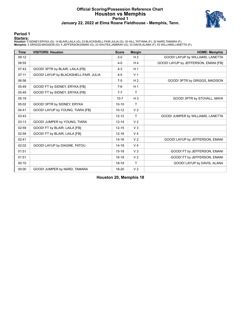#### **Official Scoring/Possession Reference Chart Houston vs Memphis Period 1 January 22, 2022 at Elma Roane Fieldhouse - Memphis, Tenn.**



#### **Period 1**

<mark>Startersː</mark><br>Houston: 0 SIDNEY,ERYKA (G); 14 BLAIR,LAILA (G); 23 BLACKSHELL-FAIR,JULIA (G); 30 HILL,TATYANA (F); 32 NARD,TAMARA (F);<br>**Memphis**: 2 GRIGGS,MADISON (G); 5 JEFFERSON,EMANI (G); 23 SHUTES,JAMIRAH (G); 33 DAVIS,AL

| <b>Time</b> | <b>VISITORS: Houston</b>              | <b>Score</b> | <b>Margin</b>  | <b>HOME: Memphis</b>                 |
|-------------|---------------------------------------|--------------|----------------|--------------------------------------|
| 09:12       |                                       | $2 - 0$      | H <sub>2</sub> | GOOD! LAYUP by WILLIAMS, LANETTA     |
| 08:55       |                                       | $4 - 0$      | H <sub>4</sub> | GOOD! LAYUP by JEFFERSON, EMANI [FB] |
| 07:43       | GOOD! 3PTR by BLAIR, LAILA [FB]       | $4 - 3$      | H <sub>1</sub> |                                      |
| 07:11       | GOOD! LAYUP by BLACKSHELL-FAIR, JULIA | $4 - 5$      | V <sub>1</sub> |                                      |
| 06:56       |                                       | $7-5$        | H <sub>2</sub> | GOOD! 3PTR by GRIGGS, MADISON        |
| 05:49       | GOOD! FT by SIDNEY, ERYKA [FB]        | $7-6$        | H <sub>1</sub> |                                      |
| 05:49       | GOOD! FT by SIDNEY, ERYKA [FB]        | $7 - 7$      | T              |                                      |
| 05:19       |                                       | $10 - 7$     | $H_3$          | GOOD! 3PTR by STOVALL, MAYA          |
| 05:02       | GOOD! 3PTR by SIDNEY, ERYKA           | $10 - 10$    | T              |                                      |
| 04:41       | GOOD! LAYUP by YOUNG, TIARA [FB]      | $10 - 12$    | V <sub>2</sub> |                                      |
| 03:43       |                                       | $12 - 12$    | T              | GOOD! JUMPER by WILLIAMS, LANETTA    |
| 03:13       | GOOD! JUMPER by YOUNG, TIARA          | $12 - 14$    | V <sub>2</sub> |                                      |
| 02:59       | GOOD! FT by BLAIR, LAILA [FB]         | $12 - 15$    | $V_3$          |                                      |
| 02:59       | GOOD! FT by BLAIR, LAILA [FB]         | $12 - 16$    | V <sub>4</sub> |                                      |
| 02:41       |                                       | $14 - 16$    | V <sub>2</sub> | GOOD! LAYUP by JEFFERSON, EMANI      |
| 02:02       | GOOD! LAYUP by DIAGNE, FATOU          | $14 - 18$    | V <sub>4</sub> |                                      |
| 01:51       |                                       | $15 - 18$    | V <sub>3</sub> | GOOD! FT by JEFFERSON, EMANI         |
| 01:51       |                                       | $16 - 18$    | V <sub>2</sub> | GOOD! FT by JEFFERSON, EMANI         |
| 00:10       |                                       | $18 - 18$    | $\mathsf{T}$   | GOOD! LAYUP by DAVIS, ALANA          |
| 00:00       | GOOD! JUMPER by NARD, TAMARA          | 18-20        | V <sub>2</sub> |                                      |

**Houston 20, Memphis 18**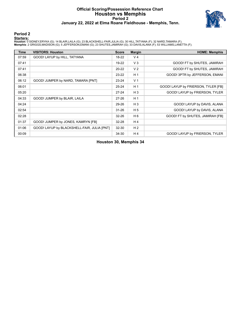#### **Official Scoring/Possession Reference Chart Houston vs Memphis Period 2 January 22, 2022 at Elma Roane Fieldhouse - Memphis, Tenn.**



#### **Period 2**

#### **Starters:**

Houston: 0 SIDNEY,ERYKA (G); 14 BLAIR,LAILA (G); 23 BLACKSHELL-FAIR,JULIA (G); 30 HILL,TATYANA (F); 32 NARD,TAMARA (F);<br>**Memphis**: 2 GRIGGS,MADISON (G); 5 JEFFERSON,EMANI (G); 23 SHUTES,JAMIRAH (G); 33 DAVIS,ALANA (F); 53

| <b>Time</b> | <b>VISITORS: Houston</b>                    | <b>Score</b> | <b>Margin</b>  | <b>HOME: Memphis</b>                |
|-------------|---------------------------------------------|--------------|----------------|-------------------------------------|
| 07:59       | GOOD! LAYUP by HILL, TATYANA                | 18-22        | V <sub>4</sub> |                                     |
| 07:41       |                                             | 19-22        | $V_3$          | GOOD! FT by SHUTES, JAMIRAH         |
| 07:41       |                                             | $20 - 22$    | V <sub>2</sub> | GOOD! FT by SHUTES, JAMIRAH         |
| 06:38       |                                             | $23 - 22$    | H <sub>1</sub> | GOOD! 3PTR by JEFFERSON, EMANI      |
| 06:12       | GOOD! JUMPER by NARD, TAMARA [PNT]          | $23 - 24$    | V <sub>1</sub> |                                     |
| 06:01       |                                             | $25 - 24$    | H <sub>1</sub> | GOOD! LAYUP by FRIERSON, TYLER [FB] |
| 05:20       |                                             | $27 - 24$    | $H_3$          | GOOD! LAYUP by FRIERSON, TYLER      |
| 04:33       | GOOD! JUMPER by BLAIR, LAILA                | $27 - 26$    | H <sub>1</sub> |                                     |
| 04:24       |                                             | 29-26        | $H_3$          | GOOD! LAYUP by DAVIS, ALANA         |
| 02:54       |                                             | $31 - 26$    | H <sub>5</sub> | GOOD! LAYUP by DAVIS, ALANA         |
| 02:28       |                                             | $32 - 26$    | H <sub>6</sub> | GOOD! FT by SHUTES, JAMIRAH [FB]    |
| 01:37       | GOOD! JUMPER by JONES, KAMRYN [FB]          | $32 - 28$    | H <sub>4</sub> |                                     |
| 01:06       | GOOD! LAYUP by BLACKSHELL-FAIR, JULIA [PNT] | 32-30        | H <sub>2</sub> |                                     |
| 00:09       |                                             | 34-30        | H <sub>4</sub> | GOOD! LAYUP by FRIERSON, TYLER      |

#### **Houston 30, Memphis 34**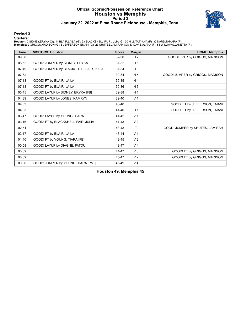#### **Official Scoring/Possession Reference Chart Houston vs Memphis Period 3 January 22, 2022 at Elma Roane Fieldhouse - Memphis, Tenn.**



#### **Period 3**

#### **Starters:**

Houston: 0 SIDNEY,ERYKA (G); 14 BLAIR,LAILA (G); 23 BLACKSHELL-FAIR,JULIA (G); 30 HILL,TATYANA (F); 32 NARD,TAMARA (F);<br>**Memphis**: 2 GRIGGS,MADISON (G); 5 JEFFERSON,EMANI (G); 23 SHUTES,JAMIRAH (G); 33 DAVIS,ALANA (F); 53

| <b>Time</b> | <b>VISITORS: Houston</b>               | <b>Score</b> | <b>Margin</b>  | <b>HOME: Memphis</b>            |
|-------------|----------------------------------------|--------------|----------------|---------------------------------|
| 09:38       |                                        | $37 - 30$    | H 7            | GOOD! 3PTR by GRIGGS, MADISON   |
| 08:52       | GOOD! JUMPER by SIDNEY, ERYKA          | $37 - 32$    | H <sub>5</sub> |                                 |
| 07:49       | GOOD! JUMPER by BLACKSHELL-FAIR, JULIA | 37-34        | $H_3$          |                                 |
| 07:32       |                                        | 39-34        | H <sub>5</sub> | GOOD! JUMPER by GRIGGS, MADISON |
| 07:13       | GOOD! FT by BLAIR, LAILA               | 39-35        | H <sub>4</sub> |                                 |
| 07:13       | GOOD! FT by BLAIR, LAILA               | 39-36        | $H_3$          |                                 |
| 05:45       | GOOD! LAYUP by SIDNEY, ERYKA [FB]      | 39-38        | H <sub>1</sub> |                                 |
| 04:39       | GOOD! LAYUP by JONES, KAMRYN           | 39-40        | V <sub>1</sub> |                                 |
| 04:03       |                                        | 40-40        | T              | GOOD! FT by JEFFERSON, EMANI    |
| 04:03       |                                        | 41-40        | H <sub>1</sub> | GOOD! FT by JEFFERSON, EMANI    |
| 03:47       | GOOD! LAYUP by YOUNG, TIARA            | 41-42        | V <sub>1</sub> |                                 |
| 03:16       | GOOD! FT by BLACKSHELL-FAIR, JULIA     | $41 - 43$    | V <sub>2</sub> |                                 |
| 02:51       |                                        | 43-43        | T              | GOOD! JUMPER by SHUTES, JAMIRAH |
| 02:17       | GOOD! FT by BLAIR, LAILA               | 43-44        | V <sub>1</sub> |                                 |
| 01:40       | GOOD! FT by YOUNG, TIARA [FB]          | 43-45        | V <sub>2</sub> |                                 |
| 00:58       | GOOD! LAYUP by DIAGNE, FATOU           | 43-47        | V <sub>4</sub> |                                 |
| 00:39       |                                        | 44-47        | V <sub>3</sub> | GOOD! FT by GRIGGS, MADISON     |
| 00:39       |                                        | 45-47        | V <sub>2</sub> | GOOD! FT by GRIGGS, MADISON     |
| 00:06       | GOOD! JUMPER by YOUNG, TIARA [PNT]     | 45-49        | V <sub>4</sub> |                                 |

**Houston 49, Memphis 45**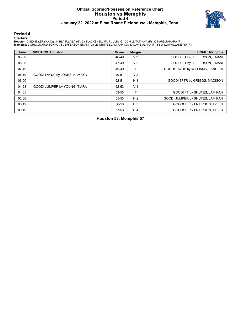#### **Official Scoring/Possession Reference Chart Houston vs Memphis Period 4 January 22, 2022 at Elma Roane Fieldhouse - Memphis, Tenn.**



**Period 4**

#### **Starters:**

Houston: 0 SIDNEY,ERYKA (G); 14 BLAIR,LAILA (G); 23 BLACKSHELL-FAIR,JULIA (G); 30 HILL,TATYANA (F); 32 NARD,TAMARA (F);<br>**Memphis**: 2 GRIGGS,MADISON (G); 5 JEFFERSON,EMANI (G); 23 SHUTES,JAMIRAH (G); 33 DAVIS,ALANA (F); 53

| <b>Time</b> | <b>VISITORS: Houston</b>     | <b>Score</b> | <b>Margin</b>  | <b>HOME: Memphis</b>             |
|-------------|------------------------------|--------------|----------------|----------------------------------|
| 08:30       |                              | 46-49        | $V_3$          | GOOD! FT by JEFFERSON, EMANI     |
| 08:30       |                              | 47-49        | V <sub>2</sub> | GOOD! FT by JEFFERSON, EMANI     |
| 07:49       |                              | 49-49        | т              | GOOD! LAYUP by WILLIAMS, LANETTA |
| 06:19       | GOOD! LAYUP by JONES, KAMRYN | 49-51        | V <sub>2</sub> |                                  |
| 06:00       |                              | $52 - 51$    | H <sub>1</sub> | GOOD! 3PTR by GRIGGS, MADISON    |
| 04:23       | GOOD! JUMPER by YOUNG, TIARA | 52-53        | V <sub>1</sub> |                                  |
| 04:05       |                              | 53-53        | т              | GOOD! FT by SHUTES, JAMIRAH      |
| 02:06       |                              | 55-53        | H <sub>2</sub> | GOOD! JUMPER by SHUTES, JAMIRAH  |
| 00:19       |                              | 56-53        | $H_3$          | GOOD! FT by FRIERSON, TYLER      |
| 00:19       |                              | 57-53        | H <sub>4</sub> | GOOD! FT by FRIERSON, TYLER      |

**Houston 53, Memphis 57**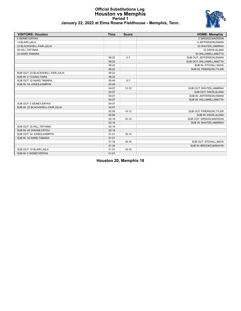#### **Official Substitutions Log Houston vs Memphis Period 1 January 22, 2022 at Elma Roane Fieldhouse - Memphis, Tenn.**



| <b>VISITORS: Houston</b>           | <b>Time</b> | <b>Score</b> | <b>HOME: Memphis</b>       |
|------------------------------------|-------------|--------------|----------------------------|
| 0 SIDNEY.ERYKA                     |             |              | 2 GRIGGS.MADISON           |
| 14 BLAIR, LAILA                    |             |              | 5 JEFFERSON, EMANI         |
| 23 BLACKSHELL-FAIR, JULIA          |             |              | 23 SHUTES, JAMIRAH         |
| 30 HILL, TATYANA                   |             |              | 33 DAVIS, ALANA            |
| 32 NARD, TAMARA                    |             |              | 53 WILLIAMS, LANETTA       |
|                                    | 06:22       | $5 - 7$      | SUB OUT: JEFFERSON, EMANI  |
|                                    | 06:22       |              | SUB OUT: WILLIAMS, LANETTA |
|                                    | 06:22       |              | SUB IN: STOVALL, MAYA      |
|                                    | 06:22       |              | SUB IN: FRIERSON, TYLER    |
| SUB OUT: 23 BLACKSHELL-FAIR, JULIA | 06:22       |              |                            |
| SUB IN: 2 YOUNG, TIARA             | 06:22       |              |                            |
| SUB OUT: 32 NARD, TAMARA           | 05:49       | $5 - 7$      |                            |
| SUB IN: 34 JONES, KAMRYN           | 05:49       |              |                            |
|                                    | 04:07       | $12 - 10$    | SUB OUT: SHUTES, JAMIRAH   |
|                                    | 04:07       |              | SUB OUT: DAVIS, ALANA      |
|                                    | 04:07       |              | SUB IN: JEFFERSON, EMANI   |
|                                    | 04:07       |              | SUB IN: WILLIAMS, LANETTA  |
| SUB OUT: 0 SIDNEY, ERYKA           | 04:07       |              |                            |
| SUB IN: 23 BLACKSHELL-FAIR, JULIA  | 04:07       |              |                            |
|                                    | 02:59       | $14 - 12$    | SUB OUT: FRIERSON, TYLER   |
|                                    | 02:59       |              | SUB IN: DAVIS, ALANA       |
|                                    | 02:16       | $16 - 14$    | SUB OUT: GRIGGS.MADISON    |
|                                    | 02:16       |              | SUB IN: SHUTES, JAMIRAH    |
| SUB OUT: 30 HILL, TATYANA          | 02:16       |              |                            |
| SUB IN: 45 DIAGNE, FATOU           | 02:16       |              |                            |
| SUB OUT: 34 JONES, KAMRYN          | 01:51       | $18 - 14$    |                            |
| SUB IN: 32 NARD, TAMARA            | 01:51       |              |                            |
|                                    | 01:34       | $18 - 16$    | SUB OUT: STOVALL, MAYA     |
|                                    | 01:34       |              | SUB IN: BROOKS, MAKAIYA    |
| SUB OUT: 14 BLAIR, LAILA           | 01:01       | $18 - 16$    |                            |
| SUB IN: 0 SIDNEY, ERYKA            | 01:01       |              |                            |

**Houston 20, Memphis 18**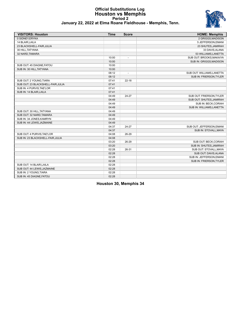#### **Official Substitutions Log Houston vs Memphis Period 2 January 22, 2022 at Elma Roane Fieldhouse - Memphis, Tenn.**



| <b>VISITORS: Houston</b>           | <b>Time</b> | <b>Score</b>             | <b>HOME: Memphis</b>       |
|------------------------------------|-------------|--------------------------|----------------------------|
| 0 SIDNEY, ERYKA                    |             |                          | 2 GRIGGS, MADISON          |
| 14 BLAIR, LAILA                    |             |                          | 5 JEFFERSON, EMANI         |
| 23 BLACKSHELL-FAIR, JULIA          |             |                          | 23 SHUTES, JAMIRAH         |
| 30 HILL, TATYANA                   |             |                          | 33 DAVIS, ALANA            |
| 32 NARD, TAMARA                    |             |                          | 53 WILLIAMS, LANETTA       |
|                                    | 10:00       | $\overline{\phantom{a}}$ | SUB OUT: BROOKS, MAKAIYA   |
|                                    | 10:00       |                          | SUB IN: GRIGGS, MADISON    |
| SUB OUT: 45 DIAGNE, FATOU          | 10:00       |                          |                            |
| SUB IN: 30 HILL, TATYANA           | 10:00       |                          |                            |
|                                    | 08:12       | $\overline{\phantom{a}}$ | SUB OUT: WILLIAMS, LANETTA |
|                                    | 08:12       |                          | SUB IN: FRIERSON, TYLER    |
| SUB OUT: 2 YOUNG, TIARA            | 07:41       | $22 - 18$                |                            |
| SUB OUT: 23 BLACKSHELL-FAIR, JULIA | 07:41       |                          |                            |
| SUB IN: 4 PURVIS, TAE'LOR          | 07:41       |                          |                            |
| SUB IN: 14 BLAIR, LAILA            | 07:41       |                          |                            |
|                                    | 04:49       | 24-27                    | SUB OUT: FRIERSON, TYLER   |
|                                    | 04:49       |                          | SUB OUT: SHUTES, JAMIRAH   |
|                                    | 04:49       |                          | SUB IN: BECK, CORIAH       |
|                                    | 04:49       |                          | SUB IN: WILLIAMS, LANETTA  |
| SUB OUT: 30 HILL, TATYANA          | 04:49       |                          |                            |
| SUB OUT: 32 NARD, TAMARA           | 04:49       |                          |                            |
| SUB IN: 34 JONES, KAMRYN           | 04:49       |                          |                            |
| SUB IN: 44 LEWIS, JAZMAINE         | 04:49       |                          |                            |
|                                    | 04:37       | 24-27                    | SUB OUT: JEFFERSON, EMANI  |
|                                    | 04:37       |                          | SUB IN: STOVALL, MAYA      |
| SUB OUT: 4 PURVIS, TAE'LOR         | 04:08       | 26-29                    |                            |
| SUB IN: 23 BLACKSHELL-FAIR, JULIA  | 04:08       |                          |                            |
|                                    | 03:20       | 26-29                    | SUB OUT: BECK, CORIAH      |
|                                    | 03:20       |                          | SUB IN: SHUTES, JAMIRAH    |
|                                    | 02:28       | 26-31                    | SUB OUT: STOVALL, MAYA     |
|                                    | 02:28       |                          | SUB OUT: DAVIS, ALANA      |
|                                    | 02:28       |                          | SUB IN: JEFFERSON, EMANI   |
|                                    | 02:28       |                          | SUB IN: FRIERSON, TYLER    |
| SUB OUT: 14 BLAIR LAILA            | 02:28       |                          |                            |
| SUB OUT: 44 LEWIS, JAZMAINE        | 02:28       |                          |                            |
| SUB IN: 2 YOUNG, TIARA             | 02:28       |                          |                            |
| SUB IN: 45 DIAGNE, FATOU           | 02:28       |                          |                            |

**Houston 30, Memphis 34**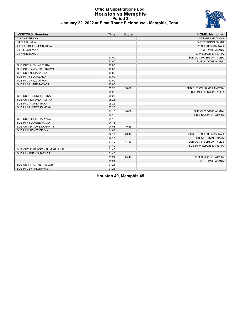#### **Official Substitutions Log Houston vs Memphis Period 3 January 22, 2022 at Elma Roane Fieldhouse - Memphis, Tenn.**



| <b>VISITORS: Houston</b>          | <b>Time</b> | <b>Score</b>             | <b>HOME: Memphis</b>       |
|-----------------------------------|-------------|--------------------------|----------------------------|
| 0 SIDNEY, ERYKA                   |             |                          | 2 GRIGGS, MADISON          |
| 14 BLAIR, LAILA                   |             |                          | 5 JEFFERSON, EMANI         |
| 23 BLACKSHELL-FAIR, JULIA         |             |                          | 23 SHUTES, JAMIRAH         |
| 30 HILL, TATYANA                  |             |                          | 33 DAVIS, ALANA            |
| 32 NARD, TAMARA                   |             |                          | 53 WILLIAMS, LANETTA       |
|                                   | 10:00       | $\overline{\phantom{a}}$ | SUB OUT: FRIERSON, TYLER   |
|                                   | 10:00       |                          | SUB IN: DAVIS, ALANA       |
| SUB OUT: 2 YOUNG, TIARA           | 10:00       |                          |                            |
| SUB OUT: 34 JONES, KAMRYN         | 10:00       |                          |                            |
| SUB OUT: 45 DIAGNE, FATOU         | 10:00       |                          |                            |
| SUB IN: 14 BLAIR, LAILA           | 10:00       |                          |                            |
| SUB IN: 30 HILL, TATYANA          | 10:00       |                          |                            |
| SUB IN: 32 NARD, TAMARA           | 10:00       |                          |                            |
|                                   | 05:25       | 38-39                    | SUB OUT: WILLIAMS, LANETTA |
|                                   | 05:25       |                          | SUB IN: FRIERSON, TYLER    |
| SUB OUT: 0 SIDNEY, ERYKA          | 05:25       |                          |                            |
| SUB OUT: 32 NARD, TAMARA          | 05:25       |                          |                            |
| SUB IN: 2 YOUNG, TIARA            | 05:25       |                          |                            |
| SUB IN: 34 JONES, KAMRYN          | 05:25       |                          |                            |
|                                   | 04:18       | 40-39                    | SUB OUT: DAVIS, ALANA      |
|                                   | 04:18       |                          | SUB IN: JONES, JATYJIA     |
| SUB OUT: 30 HILL, TATYANA         | 04:18       |                          |                            |
| SUB IN: 45 DIAGNE, FATOU          | 04:18       |                          |                            |
| SUB OUT: 34 JONES, KAMRYN         | 04:03       | 40-39                    |                            |
| SUB IN: 0 SIDNEY, ERYKA           | 04:03       |                          |                            |
|                                   | 02:17       | 43-43                    | SUB OUT: SHUTES, JAMIRAH   |
|                                   | 02:17       |                          | SUB IN: STOVALL, MAYA      |
|                                   | 01:40       | 44-43                    | SUB OUT: FRIERSON, TYLER   |
|                                   | 01:40       |                          | SUB IN: WILLIAMS, LANETTA  |
| SUB OUT: 23 BLACKSHELL-FAIR.JULIA | 01:40       |                          |                            |
| SUB IN: 4 PURVIS, TAE'LOR         | 01:40       |                          |                            |
|                                   | 01:21       | 45-43                    | SUB OUT: JONES, JATYJIA    |
|                                   | 01:21       |                          | SUB IN: DAVIS, ALANA       |
| SUB OUT: 4 PURVIS, TAE'LOR        | 01:21       |                          |                            |
| SUB IN: 32 NARD, TAMARA           | 01:21       |                          |                            |

**Houston 49, Memphis 45**